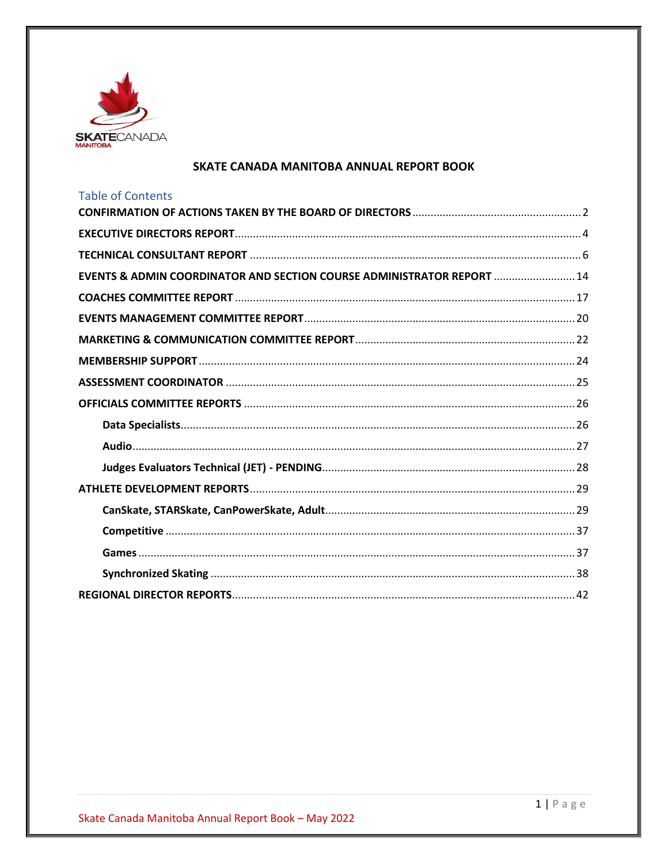

## SKATE CANADA MANITOBA ANNUAL REPORT BOOK

| <b>Table of Contents</b>                                                          |
|-----------------------------------------------------------------------------------|
|                                                                                   |
|                                                                                   |
|                                                                                   |
| <b>EVENTS &amp; ADMIN COORDINATOR AND SECTION COURSE ADMINISTRATOR REPORT  14</b> |
|                                                                                   |
|                                                                                   |
|                                                                                   |
|                                                                                   |
|                                                                                   |
|                                                                                   |
|                                                                                   |
|                                                                                   |
|                                                                                   |
|                                                                                   |
|                                                                                   |
|                                                                                   |
|                                                                                   |
|                                                                                   |
|                                                                                   |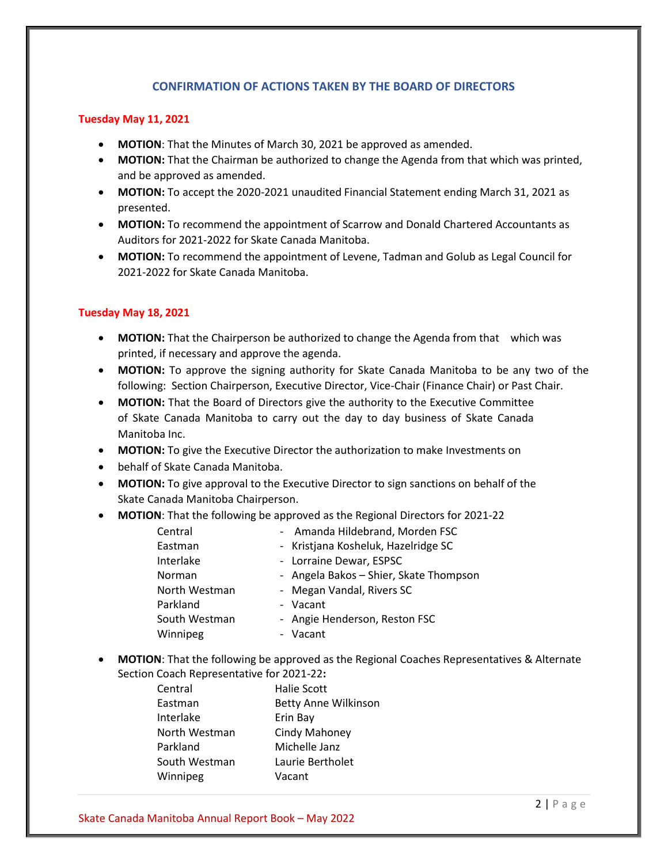## **CONFIRMATION OF ACTIONS TAKEN BY THE BOARD OF DIRECTORS**

#### <span id="page-1-0"></span>**Tuesday May 11, 2021**

- **MOTION**: That the Minutes of March 30, 2021 be approved as amended.
- **MOTION:** That the Chairman be authorized to change the Agenda from that which was printed, and be approved as amended.
- **MOTION:** To accept the 2020-2021 unaudited Financial Statement ending March 31, 2021 as presented.
- **MOTION:** To recommend the appointment of Scarrow and Donald Chartered Accountants as Auditors for 2021-2022 for Skate Canada Manitoba.
- **MOTION:** To recommend the appointment of Levene, Tadman and Golub as Legal Council for 2021-2022 for Skate Canada Manitoba.

## **Tuesday May 18, 2021**

- **MOTION:** That the Chairperson be authorized to change the Agenda from that which was printed, if necessary and approve the agenda.
- **MOTION:** To approve the signing authority for Skate Canada Manitoba to be any two of the following: Section Chairperson, Executive Director, Vice-Chair (Finance Chair) or Past Chair.
- **MOTION:** That the Board of Directors give the authority to the Executive Committee of Skate Canada Manitoba to carry out the day to day business of Skate Canada Manitoba Inc.
- **MOTION:** To give the Executive Director the authorization to make Investments on
- behalf of Skate Canada Manitoba.
- **MOTION:** To give approval to the Executive Director to sign sanctions on behalf of the Skate Canada Manitoba Chairperson.
- **MOTION**: That the following be approved as the Regional Directors for 2021-22

| - Amanda Hildebrand, Morden FSC        |  |
|----------------------------------------|--|
| - Kristjana Kosheluk, Hazelridge SC    |  |
| - Lorraine Dewar, ESPSC                |  |
| - Angela Bakos - Shier, Skate Thompson |  |
| - Megan Vandal, Rivers SC              |  |
| - Vacant                               |  |
| - Angie Henderson, Reston FSC          |  |
| Vacant                                 |  |
|                                        |  |

• **MOTION**: That the following be approved as the Regional Coaches Representatives & Alternate Section Coach Representative for 2021-22**:**

> Central Halie Scott Eastman Betty Anne Wilkinson Interlake Erin Bay North Westman Cindy Mahoney Parkland Michelle Janz South Westman Laurie Bertholet Winnipeg Vacant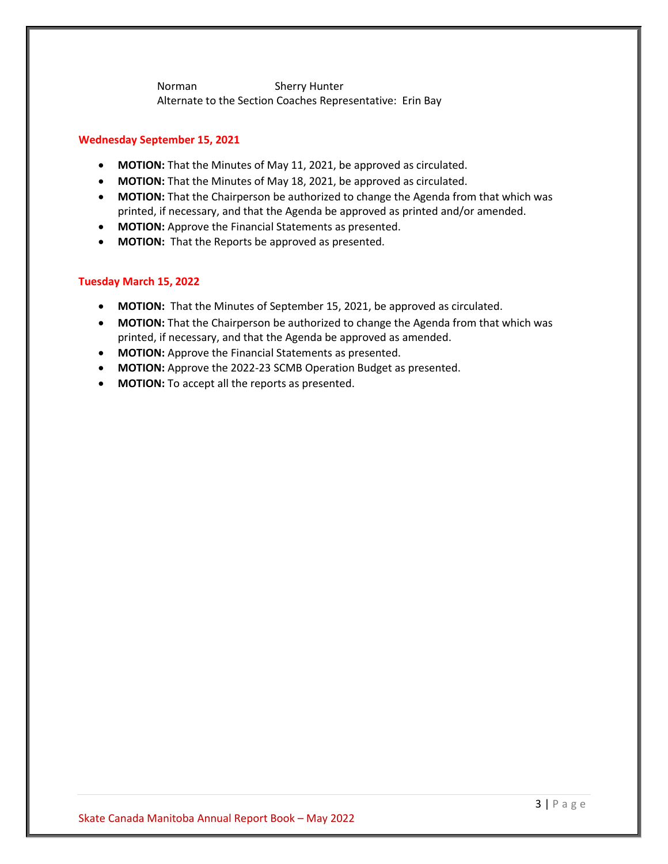Norman Sherry Hunter Alternate to the Section Coaches Representative: Erin Bay

#### **Wednesday September 15, 2021**

- **MOTION:** That the Minutes of May 11, 2021, be approved as circulated.
- **MOTION:** That the Minutes of May 18, 2021, be approved as circulated.
- **MOTION:** That the Chairperson be authorized to change the Agenda from that which was printed, if necessary, and that the Agenda be approved as printed and/or amended.
- **MOTION:** Approve the Financial Statements as presented.
- **MOTION:** That the Reports be approved as presented.

#### **Tuesday March 15, 2022**

- **MOTION:** That the Minutes of September 15, 2021, be approved as circulated.
- **MOTION:** That the Chairperson be authorized to change the Agenda from that which was printed, if necessary, and that the Agenda be approved as amended.
- **MOTION:** Approve the Financial Statements as presented.
- **MOTION:** Approve the 2022-23 SCMB Operation Budget as presented.
- **MOTION:** To accept all the reports as presented.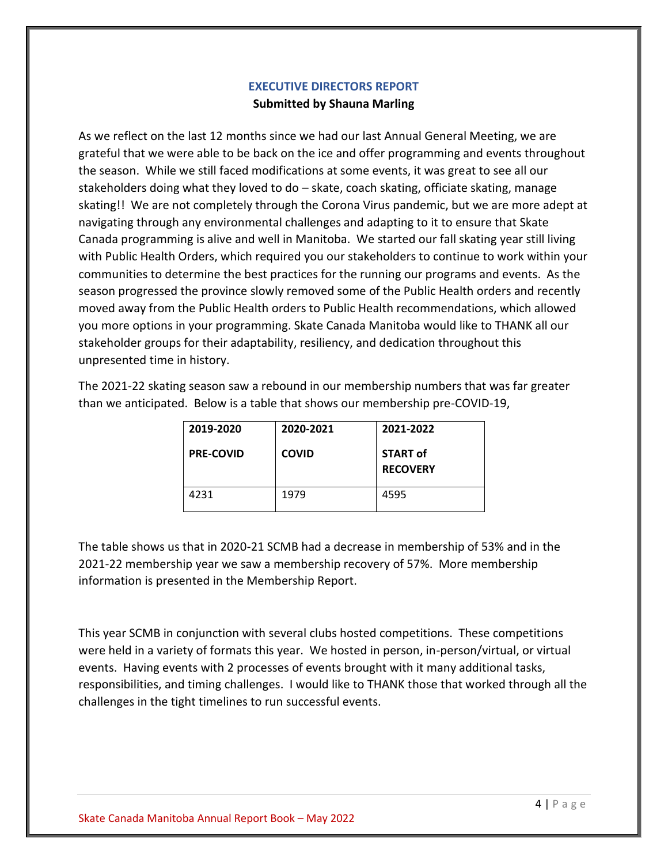# **EXECUTIVE DIRECTORS REPORT Submitted by Shauna Marling**

<span id="page-3-0"></span>As we reflect on the last 12 months since we had our last Annual General Meeting, we are grateful that we were able to be back on the ice and offer programming and events throughout the season. While we still faced modifications at some events, it was great to see all our stakeholders doing what they loved to do – skate, coach skating, officiate skating, manage skating!! We are not completely through the Corona Virus pandemic, but we are more adept at navigating through any environmental challenges and adapting to it to ensure that Skate Canada programming is alive and well in Manitoba. We started our fall skating year still living with Public Health Orders, which required you our stakeholders to continue to work within your communities to determine the best practices for the running our programs and events. As the season progressed the province slowly removed some of the Public Health orders and recently moved away from the Public Health orders to Public Health recommendations, which allowed you more options in your programming. Skate Canada Manitoba would like to THANK all our stakeholder groups for their adaptability, resiliency, and dedication throughout this unpresented time in history.

The 2021-22 skating season saw a rebound in our membership numbers that was far greater than we anticipated. Below is a table that shows our membership pre-COVID-19,

| 2019-2020        | 2020-2021    | 2021-2022                          |
|------------------|--------------|------------------------------------|
| <b>PRE-COVID</b> | <b>COVID</b> | <b>START of</b><br><b>RECOVERY</b> |
| 4231             | 1979         | 4595                               |

The table shows us that in 2020-21 SCMB had a decrease in membership of 53% and in the 2021-22 membership year we saw a membership recovery of 57%. More membership information is presented in the Membership Report.

This year SCMB in conjunction with several clubs hosted competitions. These competitions were held in a variety of formats this year. We hosted in person, in-person/virtual, or virtual events. Having events with 2 processes of events brought with it many additional tasks, responsibilities, and timing challenges. I would like to THANK those that worked through all the challenges in the tight timelines to run successful events.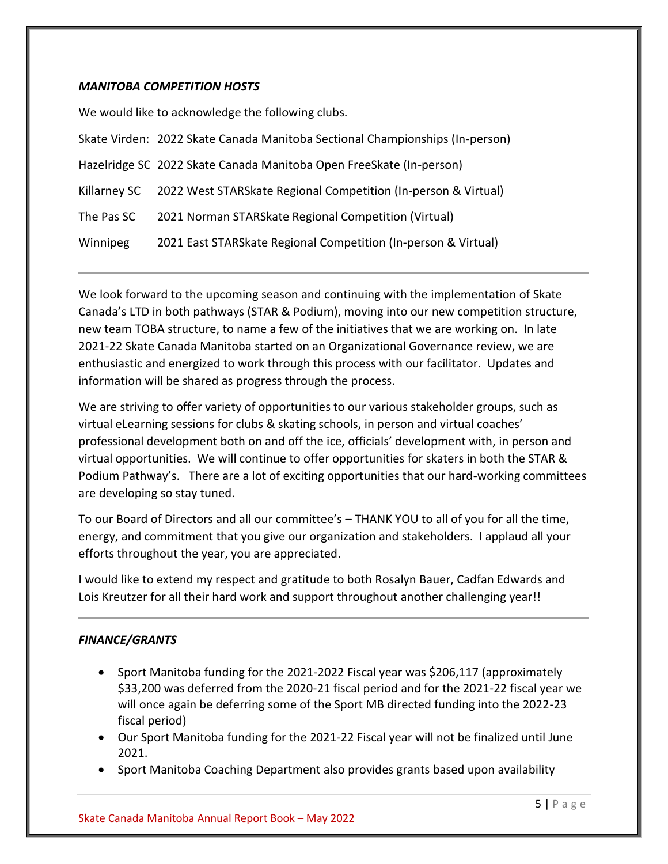## *MANITOBA COMPETITION HOSTS*

We would like to acknowledge the following clubs.

|              | Skate Virden: 2022 Skate Canada Manitoba Sectional Championships (In-person) |
|--------------|------------------------------------------------------------------------------|
|              | Hazelridge SC 2022 Skate Canada Manitoba Open FreeSkate (In-person)          |
| Killarney SC | 2022 West STARSkate Regional Competition (In-person & Virtual)               |
| The Pas SC   | 2021 Norman STARSkate Regional Competition (Virtual)                         |
| Winnipeg     | 2021 East STARSkate Regional Competition (In-person & Virtual)               |

We look forward to the upcoming season and continuing with the implementation of Skate Canada's LTD in both pathways (STAR & Podium), moving into our new competition structure, new team TOBA structure, to name a few of the initiatives that we are working on. In late 2021-22 Skate Canada Manitoba started on an Organizational Governance review, we are enthusiastic and energized to work through this process with our facilitator. Updates and information will be shared as progress through the process.

We are striving to offer variety of opportunities to our various stakeholder groups, such as virtual eLearning sessions for clubs & skating schools, in person and virtual coaches' professional development both on and off the ice, officials' development with, in person and virtual opportunities. We will continue to offer opportunities for skaters in both the STAR & Podium Pathway's. There are a lot of exciting opportunities that our hard-working committees are developing so stay tuned.

To our Board of Directors and all our committee's – THANK YOU to all of you for all the time, energy, and commitment that you give our organization and stakeholders. I applaud all your efforts throughout the year, you are appreciated.

I would like to extend my respect and gratitude to both Rosalyn Bauer, Cadfan Edwards and Lois Kreutzer for all their hard work and support throughout another challenging year!!

## *FINANCE/GRANTS*

- Sport Manitoba funding for the 2021-2022 Fiscal year was \$206,117 (approximately \$33,200 was deferred from the 2020-21 fiscal period and for the 2021-22 fiscal year we will once again be deferring some of the Sport MB directed funding into the 2022-23 fiscal period)
- Our Sport Manitoba funding for the 2021-22 Fiscal year will not be finalized until June 2021.
- Sport Manitoba Coaching Department also provides grants based upon availability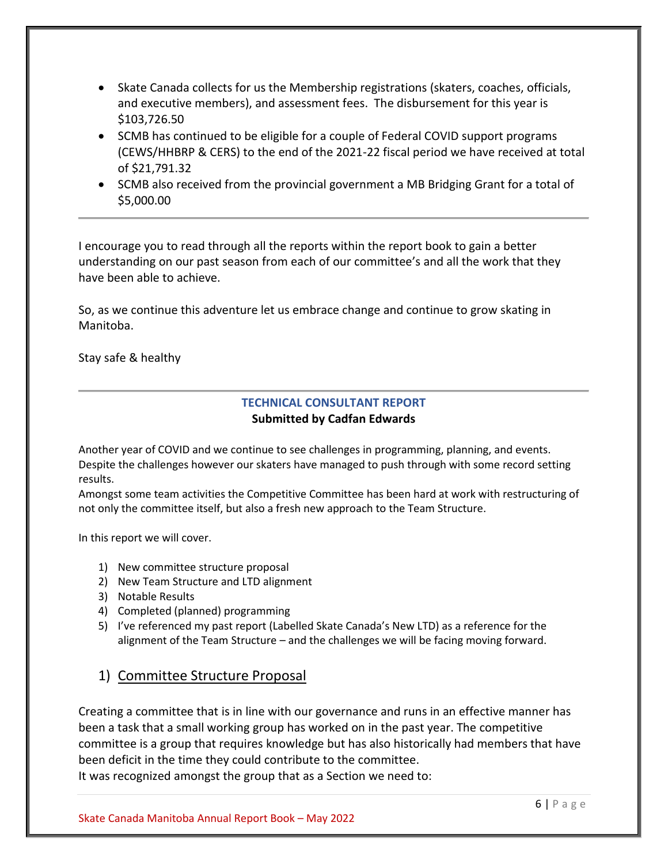- Skate Canada collects for us the Membership registrations (skaters, coaches, officials, and executive members), and assessment fees. The disbursement for this year is \$103,726.50
- SCMB has continued to be eligible for a couple of Federal COVID support programs (CEWS/HHBRP & CERS) to the end of the 2021-22 fiscal period we have received at total of \$21,791.32
- SCMB also received from the provincial government a MB Bridging Grant for a total of \$5,000.00

I encourage you to read through all the reports within the report book to gain a better understanding on our past season from each of our committee's and all the work that they have been able to achieve.

So, as we continue this adventure let us embrace change and continue to grow skating in Manitoba.

<span id="page-5-0"></span>Stay safe & healthy

# **TECHNICAL CONSULTANT REPORT Submitted by Cadfan Edwards**

Another year of COVID and we continue to see challenges in programming, planning, and events. Despite the challenges however our skaters have managed to push through with some record setting results.

Amongst some team activities the Competitive Committee has been hard at work with restructuring of not only the committee itself, but also a fresh new approach to the Team Structure.

In this report we will cover.

- 1) New committee structure proposal
- 2) New Team Structure and LTD alignment
- 3) Notable Results
- 4) Completed (planned) programming
- 5) I've referenced my past report (Labelled Skate Canada's New LTD) as a reference for the alignment of the Team Structure – and the challenges we will be facing moving forward.

# 1) Committee Structure Proposal

Creating a committee that is in line with our governance and runs in an effective manner has been a task that a small working group has worked on in the past year. The competitive committee is a group that requires knowledge but has also historically had members that have been deficit in the time they could contribute to the committee. It was recognized amongst the group that as a Section we need to: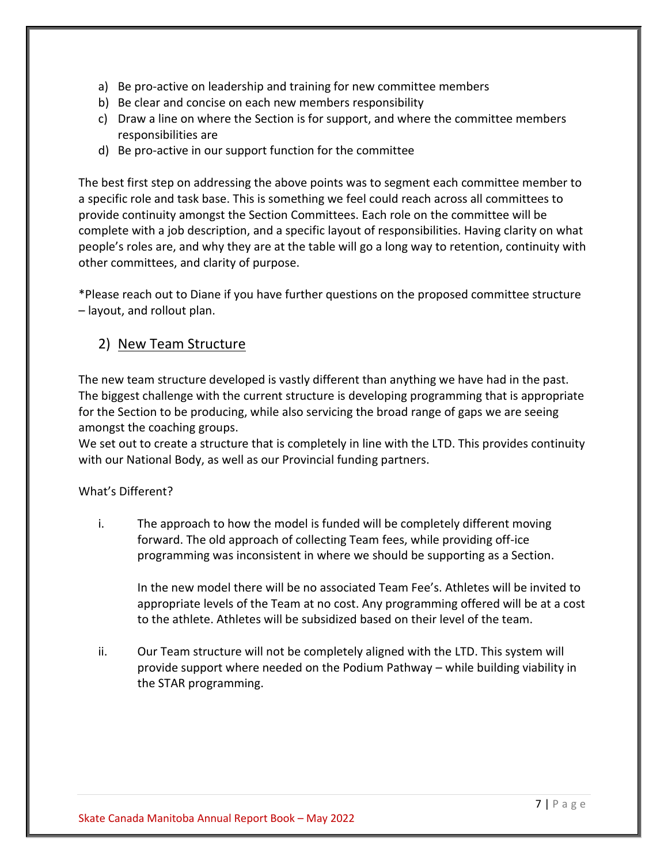- a) Be pro-active on leadership and training for new committee members
- b) Be clear and concise on each new members responsibility
- c) Draw a line on where the Section is for support, and where the committee members responsibilities are
- d) Be pro-active in our support function for the committee

The best first step on addressing the above points was to segment each committee member to a specific role and task base. This is something we feel could reach across all committees to provide continuity amongst the Section Committees. Each role on the committee will be complete with a job description, and a specific layout of responsibilities. Having clarity on what people's roles are, and why they are at the table will go a long way to retention, continuity with other committees, and clarity of purpose.

\*Please reach out to Diane if you have further questions on the proposed committee structure – layout, and rollout plan.

# 2) New Team Structure

The new team structure developed is vastly different than anything we have had in the past. The biggest challenge with the current structure is developing programming that is appropriate for the Section to be producing, while also servicing the broad range of gaps we are seeing amongst the coaching groups.

We set out to create a structure that is completely in line with the LTD. This provides continuity with our National Body, as well as our Provincial funding partners.

## What's Different?

i. The approach to how the model is funded will be completely different moving forward. The old approach of collecting Team fees, while providing off-ice programming was inconsistent in where we should be supporting as a Section.

In the new model there will be no associated Team Fee's. Athletes will be invited to appropriate levels of the Team at no cost. Any programming offered will be at a cost to the athlete. Athletes will be subsidized based on their level of the team.

ii. Our Team structure will not be completely aligned with the LTD. This system will provide support where needed on the Podium Pathway – while building viability in the STAR programming.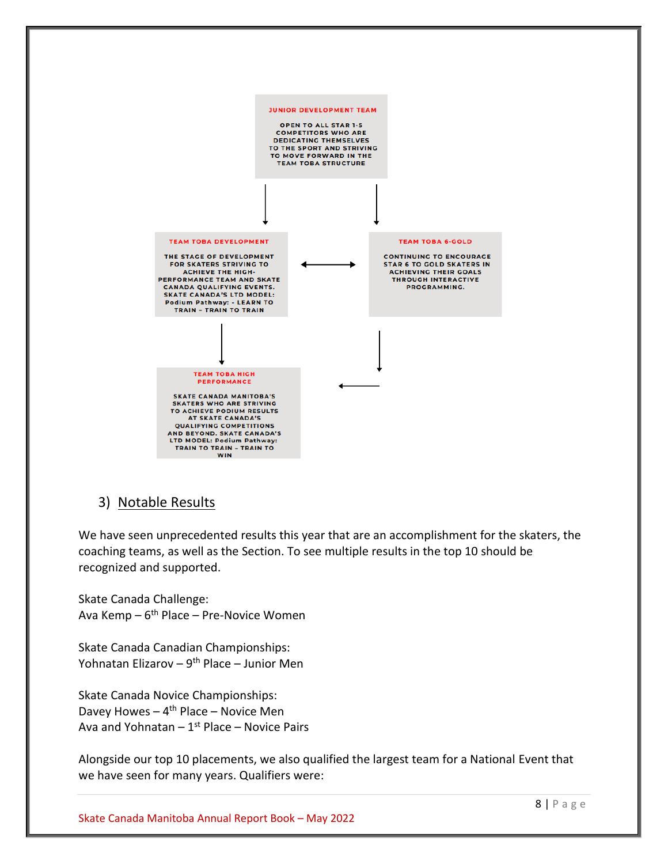

# 3) Notable Results

We have seen unprecedented results this year that are an accomplishment for the skaters, the coaching teams, as well as the Section. To see multiple results in the top 10 should be recognized and supported.

Skate Canada Challenge: Ava Kemp – 6<sup>th</sup> Place – Pre-Novice Women

Skate Canada Canadian Championships: Yohnatan Elizarov – 9<sup>th</sup> Place – Junior Men

Skate Canada Novice Championships: Davey Howes - 4<sup>th</sup> Place - Novice Men Ava and Yohnatan – 1<sup>st</sup> Place – Novice Pairs

Alongside our top 10 placements, we also qualified the largest team for a National Event that we have seen for many years. Qualifiers were: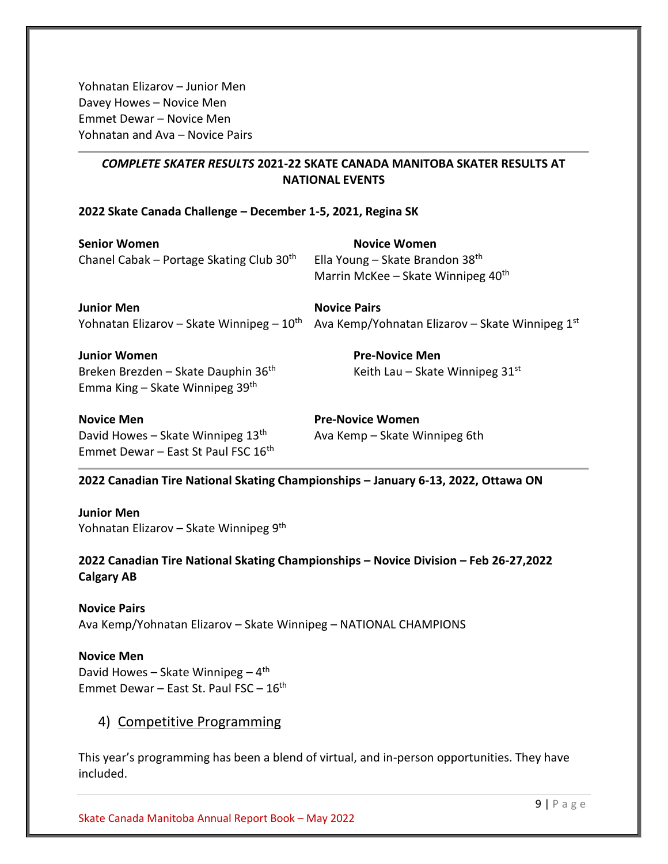Yohnatan Elizarov – Junior Men Davey Howes – Novice Men Emmet Dewar – Novice Men Yohnatan and Ava – Novice Pairs

# *COMPLETE SKATER RESULTS* **2021-22 SKATE CANADA MANITOBA SKATER RESULTS AT NATIONAL EVENTS**

## **2022 Skate Canada Challenge – December 1-5, 2021, Regina SK**

| <b>Senior Women</b>                                  | <b>Novice Women</b>                             |
|------------------------------------------------------|-------------------------------------------------|
| Chanel Cabak - Portage Skating Club 30 <sup>th</sup> | Ella Young - Skate Brandon 38th                 |
|                                                      | Marrin McKee - Skate Winnipeg 40 <sup>th</sup>  |
| <b>Junior Men</b>                                    | <b>Novice Pairs</b>                             |
| Yohnatan Elizarov – Skate Winnipeg – $10th$          | Ava Kemp/Yohnatan Elizarov - Skate Winnipeg 1st |
| <b>Junior Women</b>                                  | <b>Pre-Novice Men</b>                           |
| Breken Brezden - Skate Dauphin 36 <sup>th</sup>      | Keith Lau - Skate Winnipeg 31st                 |
| Emma King – Skate Winnipeg $39th$                    |                                                 |
|                                                      |                                                 |

**Novice Men Pre-Novice Women** David Howes – Skate Winnipeg  $13<sup>th</sup>$  Ava Kemp – Skate Winnipeg 6th Emmet Dewar – East St Paul FSC 16th

#### **2022 Canadian Tire National Skating Championships – January 6-13, 2022, Ottawa ON**

## **Junior Men** Yohnatan Elizarov – Skate Winnipeg 9<sup>th</sup>

**2022 Canadian Tire National Skating Championships – Novice Division – Feb 26-27,2022 Calgary AB**

## **Novice Pairs** Ava Kemp/Yohnatan Elizarov – Skate Winnipeg – NATIONAL CHAMPIONS

**Novice Men**

David Howes - Skate Winnipeg - 4<sup>th</sup> Emmet Dewar – East St. Paul FSC –  $16<sup>th</sup>$ 

# 4) Competitive Programming

This year's programming has been a blend of virtual, and in-person opportunities. They have included.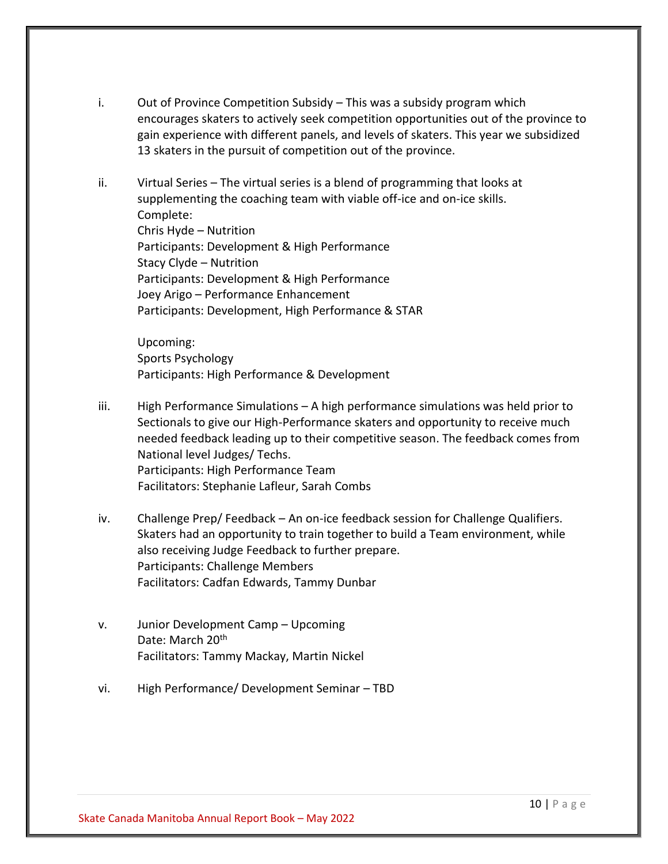- i. Out of Province Competition Subsidy This was a subsidy program which encourages skaters to actively seek competition opportunities out of the province to gain experience with different panels, and levels of skaters. This year we subsidized 13 skaters in the pursuit of competition out of the province.
- ii. Virtual Series The virtual series is a blend of programming that looks at supplementing the coaching team with viable off-ice and on-ice skills. Complete: Chris Hyde – Nutrition Participants: Development & High Performance Stacy Clyde – Nutrition Participants: Development & High Performance Joey Arigo – Performance Enhancement Participants: Development, High Performance & STAR

Upcoming: Sports Psychology Participants: High Performance & Development

- iii. High Performance Simulations A high performance simulations was held prior to Sectionals to give our High-Performance skaters and opportunity to receive much needed feedback leading up to their competitive season. The feedback comes from National level Judges/ Techs. Participants: High Performance Team Facilitators: Stephanie Lafleur, Sarah Combs
- iv. Challenge Prep/ Feedback An on-ice feedback session for Challenge Qualifiers. Skaters had an opportunity to train together to build a Team environment, while also receiving Judge Feedback to further prepare. Participants: Challenge Members Facilitators: Cadfan Edwards, Tammy Dunbar
- v. Junior Development Camp Upcoming Date: March 20<sup>th</sup> Facilitators: Tammy Mackay, Martin Nickel
- vi. High Performance/ Development Seminar TBD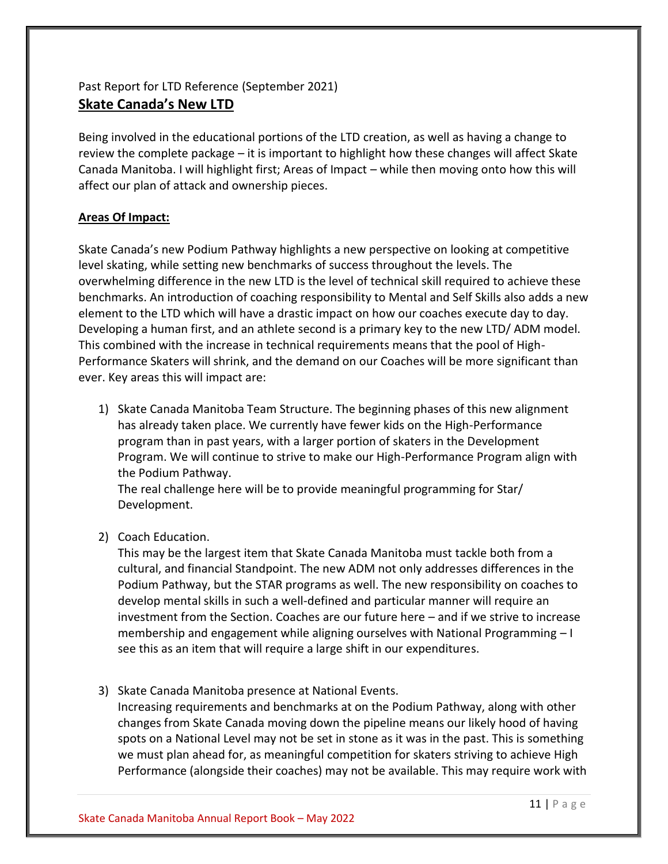# Past Report for LTD Reference (September 2021) **Skate Canada's New LTD**

Being involved in the educational portions of the LTD creation, as well as having a change to review the complete package – it is important to highlight how these changes will affect Skate Canada Manitoba. I will highlight first; Areas of Impact – while then moving onto how this will affect our plan of attack and ownership pieces.

## **Areas Of Impact:**

Skate Canada's new Podium Pathway highlights a new perspective on looking at competitive level skating, while setting new benchmarks of success throughout the levels. The overwhelming difference in the new LTD is the level of technical skill required to achieve these benchmarks. An introduction of coaching responsibility to Mental and Self Skills also adds a new element to the LTD which will have a drastic impact on how our coaches execute day to day. Developing a human first, and an athlete second is a primary key to the new LTD/ ADM model. This combined with the increase in technical requirements means that the pool of High-Performance Skaters will shrink, and the demand on our Coaches will be more significant than ever. Key areas this will impact are:

1) Skate Canada Manitoba Team Structure. The beginning phases of this new alignment has already taken place. We currently have fewer kids on the High-Performance program than in past years, with a larger portion of skaters in the Development Program. We will continue to strive to make our High-Performance Program align with the Podium Pathway.

The real challenge here will be to provide meaningful programming for Star/ Development.

2) Coach Education.

This may be the largest item that Skate Canada Manitoba must tackle both from a cultural, and financial Standpoint. The new ADM not only addresses differences in the Podium Pathway, but the STAR programs as well. The new responsibility on coaches to develop mental skills in such a well-defined and particular manner will require an investment from the Section. Coaches are our future here – and if we strive to increase membership and engagement while aligning ourselves with National Programming – I see this as an item that will require a large shift in our expenditures.

3) Skate Canada Manitoba presence at National Events.

Increasing requirements and benchmarks at on the Podium Pathway, along with other changes from Skate Canada moving down the pipeline means our likely hood of having spots on a National Level may not be set in stone as it was in the past. This is something we must plan ahead for, as meaningful competition for skaters striving to achieve High Performance (alongside their coaches) may not be available. This may require work with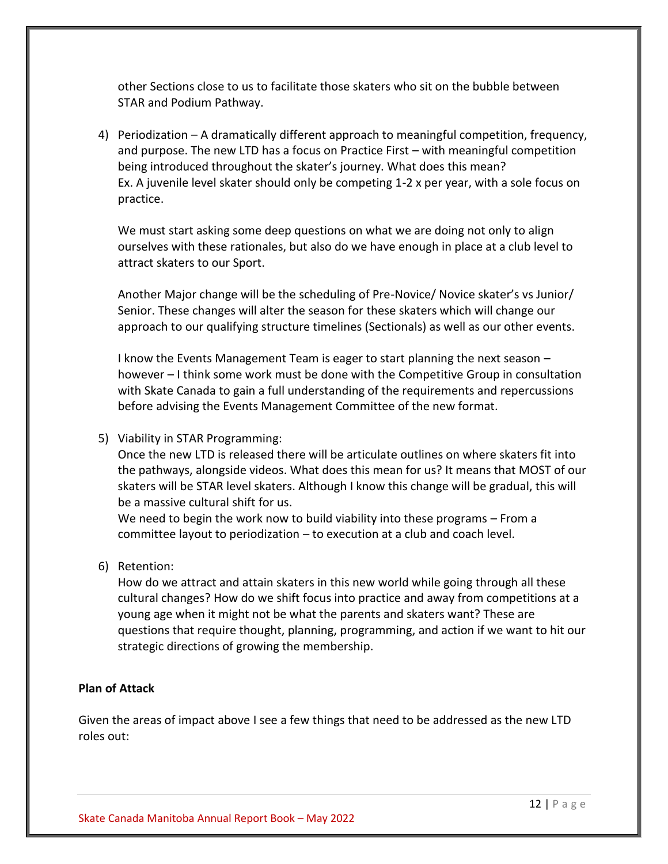other Sections close to us to facilitate those skaters who sit on the bubble between STAR and Podium Pathway.

4) Periodization – A dramatically different approach to meaningful competition, frequency, and purpose. The new LTD has a focus on Practice First – with meaningful competition being introduced throughout the skater's journey. What does this mean? Ex. A juvenile level skater should only be competing 1-2 x per year, with a sole focus on practice.

We must start asking some deep questions on what we are doing not only to align ourselves with these rationales, but also do we have enough in place at a club level to attract skaters to our Sport.

Another Major change will be the scheduling of Pre-Novice/ Novice skater's vs Junior/ Senior. These changes will alter the season for these skaters which will change our approach to our qualifying structure timelines (Sectionals) as well as our other events.

I know the Events Management Team is eager to start planning the next season – however – I think some work must be done with the Competitive Group in consultation with Skate Canada to gain a full understanding of the requirements and repercussions before advising the Events Management Committee of the new format.

## 5) Viability in STAR Programming:

Once the new LTD is released there will be articulate outlines on where skaters fit into the pathways, alongside videos. What does this mean for us? It means that MOST of our skaters will be STAR level skaters. Although I know this change will be gradual, this will be a massive cultural shift for us.

We need to begin the work now to build viability into these programs – From a committee layout to periodization – to execution at a club and coach level.

## 6) Retention:

How do we attract and attain skaters in this new world while going through all these cultural changes? How do we shift focus into practice and away from competitions at a young age when it might not be what the parents and skaters want? These are questions that require thought, planning, programming, and action if we want to hit our strategic directions of growing the membership.

## **Plan of Attack**

Given the areas of impact above I see a few things that need to be addressed as the new LTD roles out: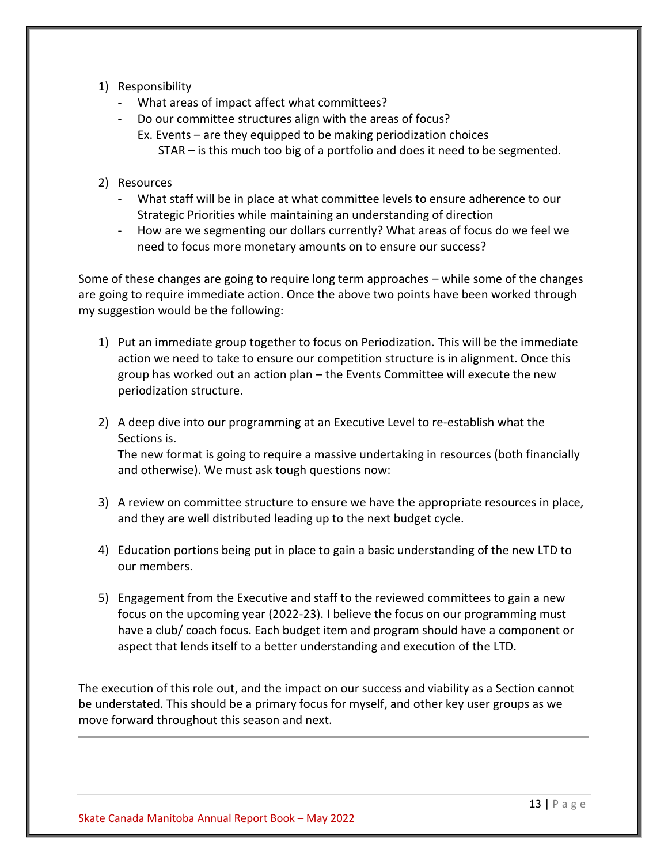- 1) Responsibility
	- What areas of impact affect what committees?
	- Do our committee structures align with the areas of focus? Ex. Events – are they equipped to be making periodization choices STAR – is this much too big of a portfolio and does it need to be segmented.
- 2) Resources
	- What staff will be in place at what committee levels to ensure adherence to our Strategic Priorities while maintaining an understanding of direction
	- How are we segmenting our dollars currently? What areas of focus do we feel we need to focus more monetary amounts on to ensure our success?

Some of these changes are going to require long term approaches – while some of the changes are going to require immediate action. Once the above two points have been worked through my suggestion would be the following:

- 1) Put an immediate group together to focus on Periodization. This will be the immediate action we need to take to ensure our competition structure is in alignment. Once this group has worked out an action plan – the Events Committee will execute the new periodization structure.
- 2) A deep dive into our programming at an Executive Level to re-establish what the Sections is.

The new format is going to require a massive undertaking in resources (both financially and otherwise). We must ask tough questions now:

- 3) A review on committee structure to ensure we have the appropriate resources in place, and they are well distributed leading up to the next budget cycle.
- 4) Education portions being put in place to gain a basic understanding of the new LTD to our members.
- 5) Engagement from the Executive and staff to the reviewed committees to gain a new focus on the upcoming year (2022-23). I believe the focus on our programming must have a club/ coach focus. Each budget item and program should have a component or aspect that lends itself to a better understanding and execution of the LTD.

The execution of this role out, and the impact on our success and viability as a Section cannot be understated. This should be a primary focus for myself, and other key user groups as we move forward throughout this season and next.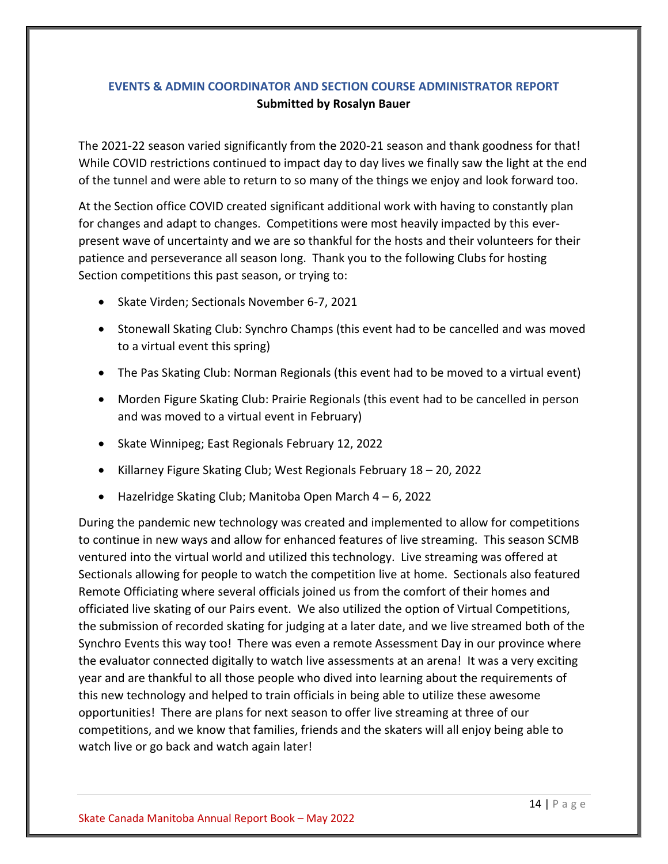# <span id="page-13-0"></span>**EVENTS & ADMIN COORDINATOR AND SECTION COURSE ADMINISTRATOR REPORT Submitted by Rosalyn Bauer**

The 2021-22 season varied significantly from the 2020-21 season and thank goodness for that! While COVID restrictions continued to impact day to day lives we finally saw the light at the end of the tunnel and were able to return to so many of the things we enjoy and look forward too.

At the Section office COVID created significant additional work with having to constantly plan for changes and adapt to changes. Competitions were most heavily impacted by this everpresent wave of uncertainty and we are so thankful for the hosts and their volunteers for their patience and perseverance all season long. Thank you to the following Clubs for hosting Section competitions this past season, or trying to:

- Skate Virden; Sectionals November 6-7, 2021
- Stonewall Skating Club: Synchro Champs (this event had to be cancelled and was moved to a virtual event this spring)
- The Pas Skating Club: Norman Regionals (this event had to be moved to a virtual event)
- Morden Figure Skating Club: Prairie Regionals (this event had to be cancelled in person and was moved to a virtual event in February)
- Skate Winnipeg; East Regionals February 12, 2022
- Killarney Figure Skating Club; West Regionals February 18 20, 2022
- Hazelridge Skating Club; Manitoba Open March 4 6, 2022

During the pandemic new technology was created and implemented to allow for competitions to continue in new ways and allow for enhanced features of live streaming. This season SCMB ventured into the virtual world and utilized this technology. Live streaming was offered at Sectionals allowing for people to watch the competition live at home. Sectionals also featured Remote Officiating where several officials joined us from the comfort of their homes and officiated live skating of our Pairs event. We also utilized the option of Virtual Competitions, the submission of recorded skating for judging at a later date, and we live streamed both of the Synchro Events this way too! There was even a remote Assessment Day in our province where the evaluator connected digitally to watch live assessments at an arena! It was a very exciting year and are thankful to all those people who dived into learning about the requirements of this new technology and helped to train officials in being able to utilize these awesome opportunities! There are plans for next season to offer live streaming at three of our competitions, and we know that families, friends and the skaters will all enjoy being able to watch live or go back and watch again later!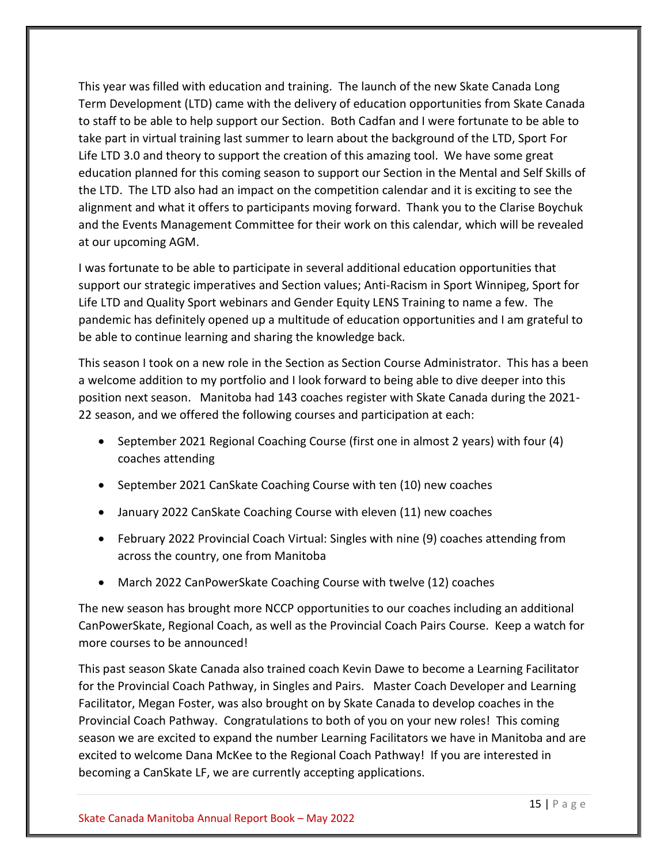This year was filled with education and training. The launch of the new Skate Canada Long Term Development (LTD) came with the delivery of education opportunities from Skate Canada to staff to be able to help support our Section. Both Cadfan and I were fortunate to be able to take part in virtual training last summer to learn about the background of the LTD, Sport For Life LTD 3.0 and theory to support the creation of this amazing tool. We have some great education planned for this coming season to support our Section in the Mental and Self Skills of the LTD. The LTD also had an impact on the competition calendar and it is exciting to see the alignment and what it offers to participants moving forward. Thank you to the Clarise Boychuk and the Events Management Committee for their work on this calendar, which will be revealed at our upcoming AGM.

I was fortunate to be able to participate in several additional education opportunities that support our strategic imperatives and Section values; Anti-Racism in Sport Winnipeg, Sport for Life LTD and Quality Sport webinars and Gender Equity LENS Training to name a few. The pandemic has definitely opened up a multitude of education opportunities and I am grateful to be able to continue learning and sharing the knowledge back.

This season I took on a new role in the Section as Section Course Administrator. This has a been a welcome addition to my portfolio and I look forward to being able to dive deeper into this position next season. Manitoba had 143 coaches register with Skate Canada during the 2021- 22 season, and we offered the following courses and participation at each:

- September 2021 Regional Coaching Course (first one in almost 2 years) with four (4) coaches attending
- September 2021 CanSkate Coaching Course with ten (10) new coaches
- January 2022 CanSkate Coaching Course with eleven (11) new coaches
- February 2022 Provincial Coach Virtual: Singles with nine (9) coaches attending from across the country, one from Manitoba
- March 2022 CanPowerSkate Coaching Course with twelve (12) coaches

The new season has brought more NCCP opportunities to our coaches including an additional CanPowerSkate, Regional Coach, as well as the Provincial Coach Pairs Course. Keep a watch for more courses to be announced!

This past season Skate Canada also trained coach Kevin Dawe to become a Learning Facilitator for the Provincial Coach Pathway, in Singles and Pairs. Master Coach Developer and Learning Facilitator, Megan Foster, was also brought on by Skate Canada to develop coaches in the Provincial Coach Pathway. Congratulations to both of you on your new roles! This coming season we are excited to expand the number Learning Facilitators we have in Manitoba and are excited to welcome Dana McKee to the Regional Coach Pathway! If you are interested in becoming a CanSkate LF, we are currently accepting applications.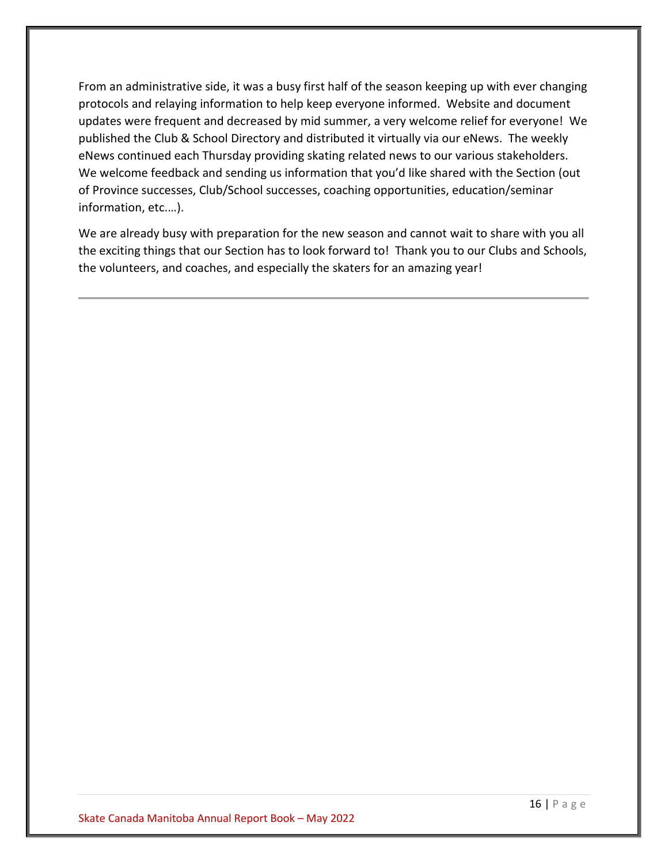From an administrative side, it was a busy first half of the season keeping up with ever changing protocols and relaying information to help keep everyone informed. Website and document updates were frequent and decreased by mid summer, a very welcome relief for everyone! We published the Club & School Directory and distributed it virtually via our eNews. The weekly eNews continued each Thursday providing skating related news to our various stakeholders. We welcome feedback and sending us information that you'd like shared with the Section (out of Province successes, Club/School successes, coaching opportunities, education/seminar information, etc.…).

We are already busy with preparation for the new season and cannot wait to share with you all the exciting things that our Section has to look forward to! Thank you to our Clubs and Schools, the volunteers, and coaches, and especially the skaters for an amazing year!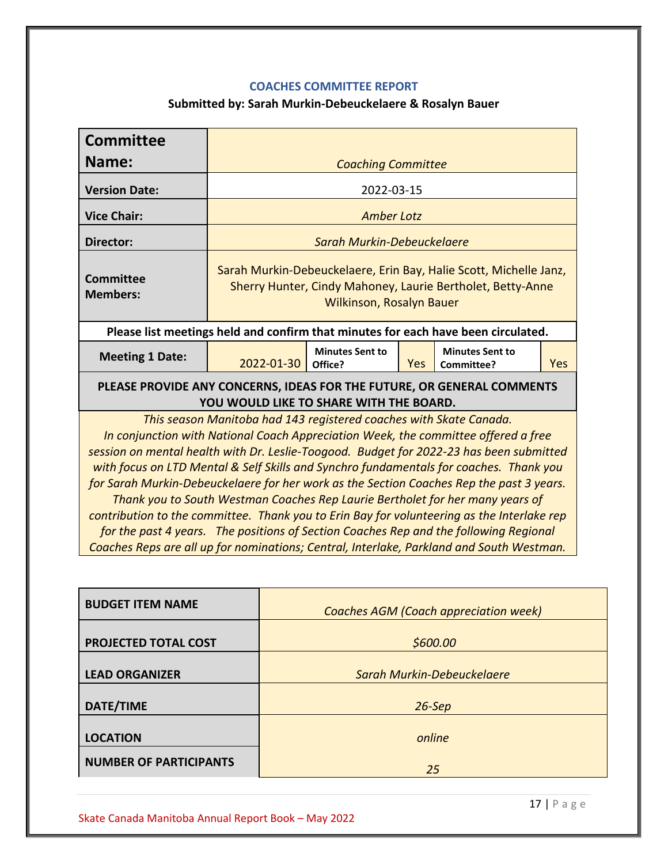# **COACHES COMMITTEE REPORT**

# **Submitted by: Sarah Murkin-Debeuckelaere & Rosalyn Bauer**

<span id="page-16-0"></span>

| <b>Committee</b>                                                                                                                                                                                                                                                                                                                                                                                                                                                                                                                                                                                                                                                                                                                                                                                              |                                                                                                                                                                    |                                   |     |                                                                                   |     |
|---------------------------------------------------------------------------------------------------------------------------------------------------------------------------------------------------------------------------------------------------------------------------------------------------------------------------------------------------------------------------------------------------------------------------------------------------------------------------------------------------------------------------------------------------------------------------------------------------------------------------------------------------------------------------------------------------------------------------------------------------------------------------------------------------------------|--------------------------------------------------------------------------------------------------------------------------------------------------------------------|-----------------------------------|-----|-----------------------------------------------------------------------------------|-----|
| Name:                                                                                                                                                                                                                                                                                                                                                                                                                                                                                                                                                                                                                                                                                                                                                                                                         |                                                                                                                                                                    | <b>Coaching Committee</b>         |     |                                                                                   |     |
| <b>Version Date:</b>                                                                                                                                                                                                                                                                                                                                                                                                                                                                                                                                                                                                                                                                                                                                                                                          |                                                                                                                                                                    | 2022-03-15                        |     |                                                                                   |     |
| <b>Vice Chair:</b>                                                                                                                                                                                                                                                                                                                                                                                                                                                                                                                                                                                                                                                                                                                                                                                            |                                                                                                                                                                    | <b>Amber Lotz</b>                 |     |                                                                                   |     |
| Director:                                                                                                                                                                                                                                                                                                                                                                                                                                                                                                                                                                                                                                                                                                                                                                                                     |                                                                                                                                                                    | Sarah Murkin-Debeuckelaere        |     |                                                                                   |     |
| <b>Committee</b><br><b>Members:</b>                                                                                                                                                                                                                                                                                                                                                                                                                                                                                                                                                                                                                                                                                                                                                                           | Sarah Murkin-Debeuckelaere, Erin Bay, Halie Scott, Michelle Janz,<br>Sherry Hunter, Cindy Mahoney, Laurie Bertholet, Betty-Anne<br><b>Wilkinson, Rosalyn Bauer</b> |                                   |     |                                                                                   |     |
|                                                                                                                                                                                                                                                                                                                                                                                                                                                                                                                                                                                                                                                                                                                                                                                                               |                                                                                                                                                                    |                                   |     | Please list meetings held and confirm that minutes for each have been circulated. |     |
| <b>Meeting 1 Date:</b>                                                                                                                                                                                                                                                                                                                                                                                                                                                                                                                                                                                                                                                                                                                                                                                        | 2022-01-30                                                                                                                                                         | <b>Minutes Sent to</b><br>Office? | Yes | <b>Minutes Sent to</b><br>Committee?                                              | Yes |
| PLEASE PROVIDE ANY CONCERNS, IDEAS FOR THE FUTURE, OR GENERAL COMMENTS<br>YOU WOULD LIKE TO SHARE WITH THE BOARD.                                                                                                                                                                                                                                                                                                                                                                                                                                                                                                                                                                                                                                                                                             |                                                                                                                                                                    |                                   |     |                                                                                   |     |
| This season Manitoba had 143 registered coaches with Skate Canada.<br>In conjunction with National Coach Appreciation Week, the committee offered a free<br>session on mental health with Dr. Leslie-Toogood. Budget for 2022-23 has been submitted<br>with focus on LTD Mental & Self Skills and Synchro fundamentals for coaches. Thank you<br>for Sarah Murkin-Debeuckelaere for her work as the Section Coaches Rep the past 3 years.<br>Thank you to South Westman Coaches Rep Laurie Bertholet for her many years of<br>contribution to the committee. Thank you to Erin Bay for volunteering as the Interlake rep<br>for the past 4 years. The positions of Section Coaches Rep and the following Regional<br>Coaches Reps are all up for nominations; Central, Interlake, Parkland and South Westman. |                                                                                                                                                                    |                                   |     |                                                                                   |     |
| <b>BUDGET ITEM NAME</b>                                                                                                                                                                                                                                                                                                                                                                                                                                                                                                                                                                                                                                                                                                                                                                                       |                                                                                                                                                                    |                                   |     | <b>Coaches AGM (Coach appreciation week)</b>                                      |     |

|                               | Coaches AGIVI (Coach appreciation week) |  |  |  |
|-------------------------------|-----------------------------------------|--|--|--|
| PROJECTED TOTAL COST          | \$600.00                                |  |  |  |
|                               |                                         |  |  |  |
| <b>LEAD ORGANIZER</b>         | <b>Sarah Murkin-Debeuckelaere</b>       |  |  |  |
|                               |                                         |  |  |  |
| DATE/TIME                     | $26-Sep$                                |  |  |  |
|                               |                                         |  |  |  |
| <b>LOCATION</b>               | online                                  |  |  |  |
| <b>NUMBER OF PARTICIPANTS</b> |                                         |  |  |  |
|                               | 25                                      |  |  |  |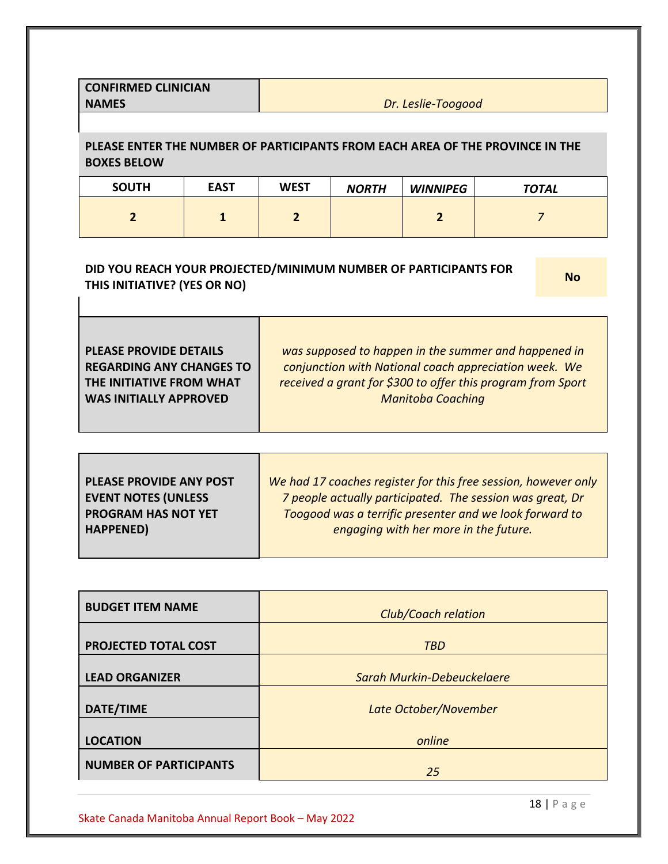| <b>CONFIRMED CLINICIAN</b> |  |
|----------------------------|--|
| <b>NAMES</b>               |  |

**Dr.** Leslie-Toogood

**PLEASE ENTER THE NUMBER OF PARTICIPANTS FROM EACH AREA OF THE PROVINCE IN THE BOXES BELOW**

| <b>SOUTH</b> | <b>EAST</b> | <b>WEST</b> | <b>NORTH</b> | <b>WINNIPEG</b> | <b>TOTAL</b> |
|--------------|-------------|-------------|--------------|-----------------|--------------|
|              |             |             |              |                 |              |

# **DID YOU REACH YOUR PROJECTED/MINIMUM NUMBER OF PARTICIPANTS FOR THIS INITIATIVE?** (YES OR NO)

| <b>PLEASE PROVIDE ANY POST</b> | We had 17 coaches register for this free session, however only |
|--------------------------------|----------------------------------------------------------------|
| <b>EVENT NOTES (UNLESS</b>     | 7 people actually participated. The session was great, Dr      |
| <b>PROGRAM HAS NOT YET</b>     | Toogood was a terrific presenter and we look forward to        |
| <b>HAPPENED)</b>               | engaging with her more in the future.                          |
|                                |                                                                |

| <b>Club/Coach relation</b> |  |  |
|----------------------------|--|--|
| <b>TBD</b>                 |  |  |
| Sarah Murkin-Debeuckelaere |  |  |
| Late October/November      |  |  |
| online                     |  |  |
| 25                         |  |  |
|                            |  |  |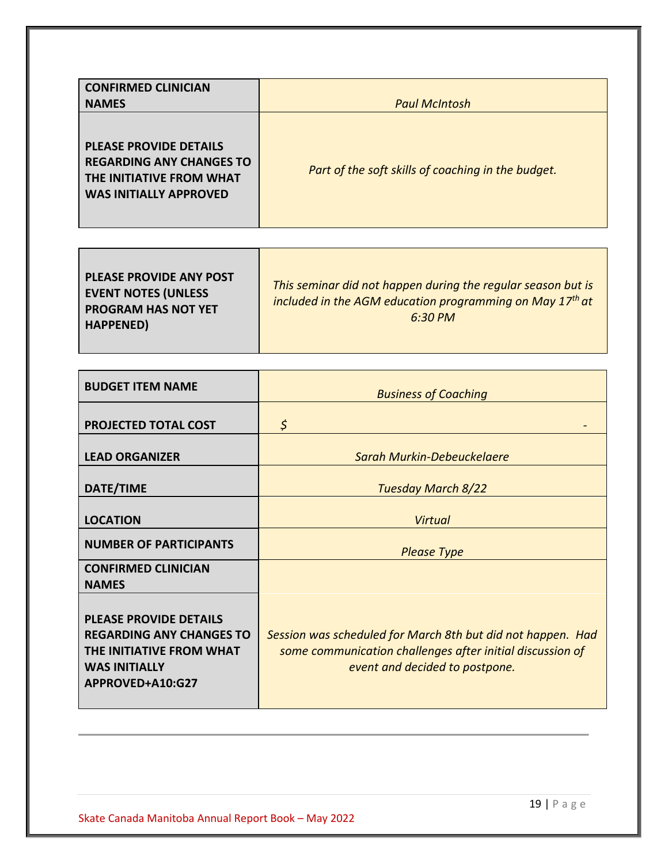| <b>CONFIRMED CLINICIAN</b><br><b>NAMES</b>                                                                                    | <b>Paul McIntosh</b>                               |
|-------------------------------------------------------------------------------------------------------------------------------|----------------------------------------------------|
| <b>PLEASE PROVIDE DETAILS</b><br><b>REGARDING ANY CHANGES TO</b><br>THE INITIATIVE FROM WHAT<br><b>WAS INITIALLY APPROVED</b> | Part of the soft skills of coaching in the budget. |

| <b>PLEASE PROVIDE ANY POST</b><br><b>EVENT NOTES (UNLESS</b><br><b>PROGRAM HAS NOT YET</b><br><b>HAPPENED)</b> | This seminar did not happen during the regular season but is<br>included in the AGM education programming on May 17 <sup>th</sup> at<br>$6:30 \, PM$ |
|----------------------------------------------------------------------------------------------------------------|------------------------------------------------------------------------------------------------------------------------------------------------------|
|----------------------------------------------------------------------------------------------------------------|------------------------------------------------------------------------------------------------------------------------------------------------------|

| <b>BUDGET ITEM NAME</b>                                                                                                                  | <b>Business of Coaching</b>                                                                                                                                |
|------------------------------------------------------------------------------------------------------------------------------------------|------------------------------------------------------------------------------------------------------------------------------------------------------------|
| <b>PROJECTED TOTAL COST</b>                                                                                                              | $\zeta$                                                                                                                                                    |
| <b>LEAD ORGANIZER</b>                                                                                                                    | Sarah Murkin-Debeuckelaere                                                                                                                                 |
| DATE/TIME                                                                                                                                | <b>Tuesday March 8/22</b>                                                                                                                                  |
| <b>LOCATION</b>                                                                                                                          | Virtual                                                                                                                                                    |
| <b>NUMBER OF PARTICIPANTS</b>                                                                                                            | <b>Please Type</b>                                                                                                                                         |
| <b>CONFIRMED CLINICIAN</b><br><b>NAMES</b>                                                                                               |                                                                                                                                                            |
| <b>PLEASE PROVIDE DETAILS</b><br><b>REGARDING ANY CHANGES TO</b><br>THE INITIATIVE FROM WHAT<br><b>WAS INITIALLY</b><br>APPROVED+A10:G27 | Session was scheduled for March 8th but did not happen. Had<br>some communication challenges after initial discussion of<br>event and decided to postpone. |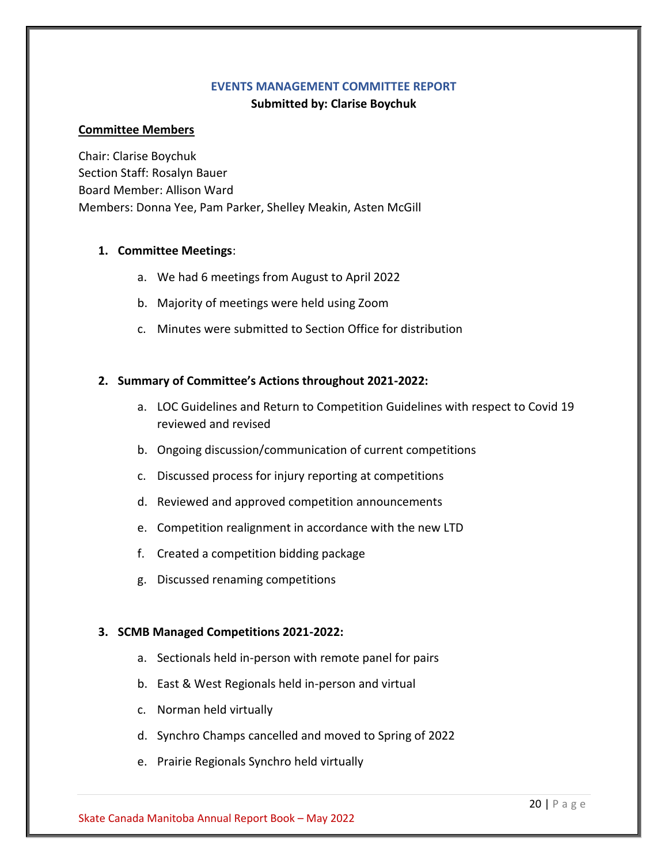#### **EVENTS MANAGEMENT COMMITTEE REPORT**

## **Submitted by: Clarise Boychuk**

## <span id="page-19-0"></span>**Committee Members**

Chair: Clarise Boychuk Section Staff: Rosalyn Bauer Board Member: Allison Ward Members: Donna Yee, Pam Parker, Shelley Meakin, Asten McGill

## **1. Committee Meetings**:

- a. We had 6 meetings from August to April 2022
- b. Majority of meetings were held using Zoom
- c. Minutes were submitted to Section Office for distribution

## **2. Summary of Committee's Actions throughout 2021-2022:**

- a. LOC Guidelines and Return to Competition Guidelines with respect to Covid 19 reviewed and revised
- b. Ongoing discussion/communication of current competitions
- c. Discussed process for injury reporting at competitions
- d. Reviewed and approved competition announcements
- e. Competition realignment in accordance with the new LTD
- f. Created a competition bidding package
- g. Discussed renaming competitions

## **3. SCMB Managed Competitions 2021-2022:**

- a. Sectionals held in-person with remote panel for pairs
- b. East & West Regionals held in-person and virtual
- c. Norman held virtually
- d. Synchro Champs cancelled and moved to Spring of 2022
- e. Prairie Regionals Synchro held virtually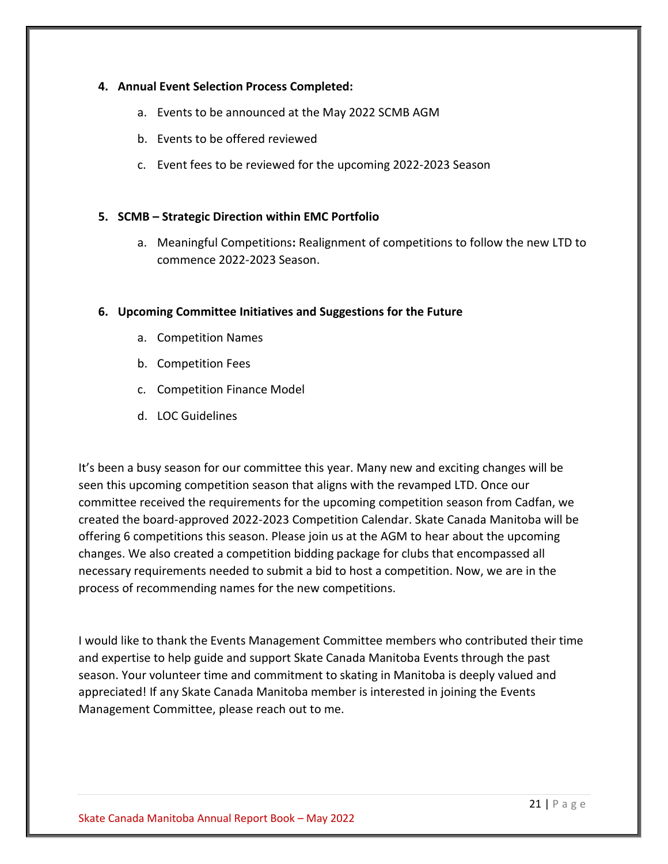## **4. Annual Event Selection Process Completed:**

- a. Events to be announced at the May 2022 SCMB AGM
- b. Events to be offered reviewed
- c. Event fees to be reviewed for the upcoming 2022-2023 Season

## **5. SCMB – Strategic Direction within EMC Portfolio**

a. Meaningful Competitions**:** Realignment of competitions to follow the new LTD to commence 2022-2023 Season.

## **6. Upcoming Committee Initiatives and Suggestions for the Future**

- a. Competition Names
- b. Competition Fees
- c. Competition Finance Model
- d. LOC Guidelines

It's been a busy season for our committee this year. Many new and exciting changes will be seen this upcoming competition season that aligns with the revamped LTD. Once our committee received the requirements for the upcoming competition season from Cadfan, we created the board-approved 2022-2023 Competition Calendar. Skate Canada Manitoba will be offering 6 competitions this season. Please join us at the AGM to hear about the upcoming changes. We also created a competition bidding package for clubs that encompassed all necessary requirements needed to submit a bid to host a competition. Now, we are in the process of recommending names for the new competitions.

I would like to thank the Events Management Committee members who contributed their time and expertise to help guide and support Skate Canada Manitoba Events through the past season. Your volunteer time and commitment to skating in Manitoba is deeply valued and appreciated! If any Skate Canada Manitoba member is interested in joining the Events Management Committee, please reach out to me.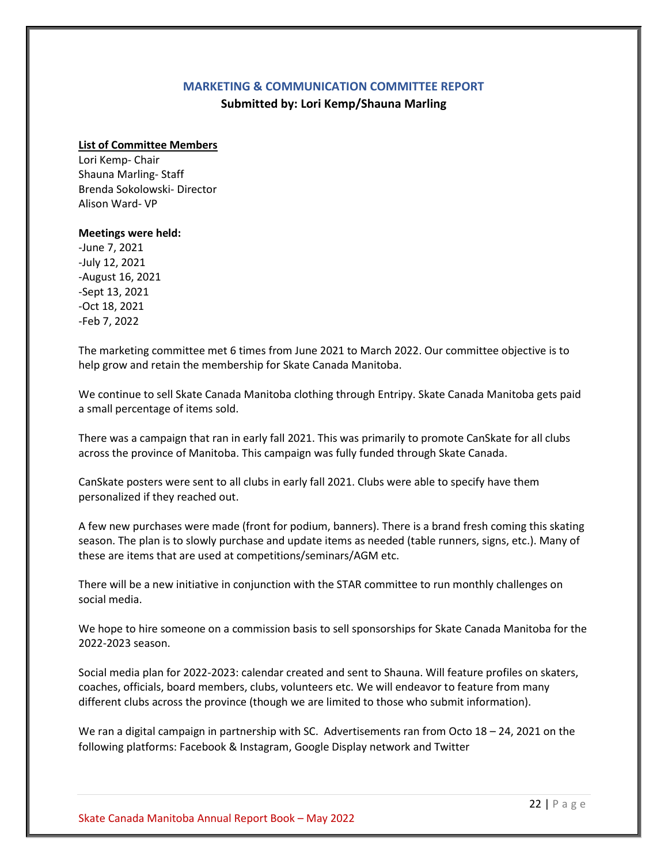#### **MARKETING & COMMUNICATION COMMITTEE REPORT**

**Submitted by: Lori Kemp/Shauna Marling**

#### <span id="page-21-0"></span>**List of Committee Members**

Lori Kemp- Chair Shauna Marling- Staff Brenda Sokolowski- Director Alison Ward- VP

#### **Meetings were held:**

-June 7, 2021 -July 12, 2021 -August 16, 2021 -Sept 13, 2021 -Oct 18, 2021 -Feb 7, 2022

The marketing committee met 6 times from June 2021 to March 2022. Our committee objective is to help grow and retain the membership for Skate Canada Manitoba.

We continue to sell Skate Canada Manitoba clothing through Entripy. Skate Canada Manitoba gets paid a small percentage of items sold.

There was a campaign that ran in early fall 2021. This was primarily to promote CanSkate for all clubs across the province of Manitoba. This campaign was fully funded through Skate Canada.

CanSkate posters were sent to all clubs in early fall 2021. Clubs were able to specify have them personalized if they reached out.

A few new purchases were made (front for podium, banners). There is a brand fresh coming this skating season. The plan is to slowly purchase and update items as needed (table runners, signs, etc.). Many of these are items that are used at competitions/seminars/AGM etc.

There will be a new initiative in conjunction with the STAR committee to run monthly challenges on social media.

We hope to hire someone on a commission basis to sell sponsorships for Skate Canada Manitoba for the 2022-2023 season.

Social media plan for 2022-2023: calendar created and sent to Shauna. Will feature profiles on skaters, coaches, officials, board members, clubs, volunteers etc. We will endeavor to feature from many different clubs across the province (though we are limited to those who submit information).

We ran a digital campaign in partnership with SC. Advertisements ran from Octo 18 – 24, 2021 on the following platforms: Facebook & Instagram, Google Display network and Twitter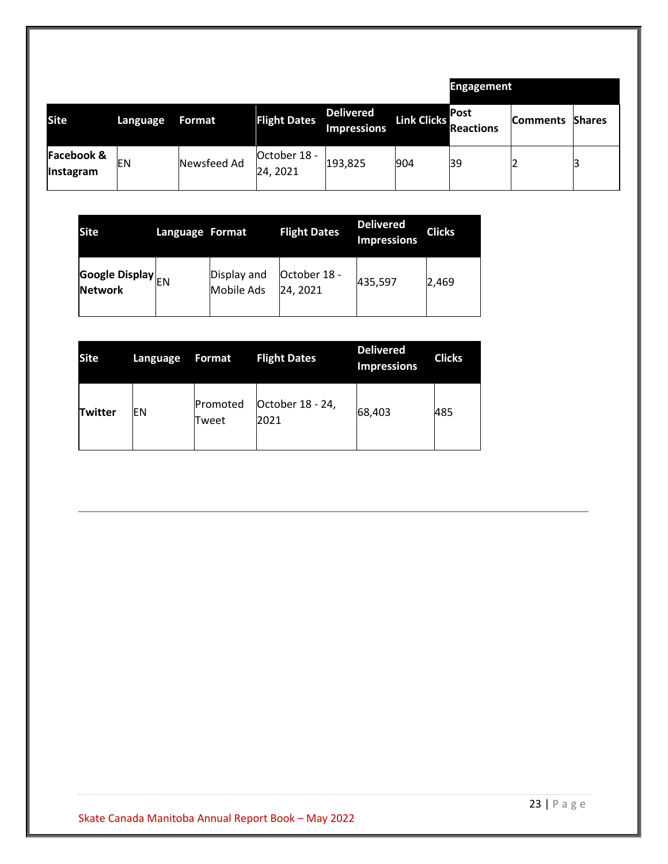|                                           |          |             |                          |                                 |             | <b>Engagement</b>         |                 |               |
|-------------------------------------------|----------|-------------|--------------------------|---------------------------------|-------------|---------------------------|-----------------|---------------|
| <b>Site</b>                               | Language | Format      | <b>Flight Dates</b>      | Delivered<br><b>Impressions</b> | Link Clicks | IPost<br><b>Reactions</b> | <b>Comments</b> | <b>Shares</b> |
| <b>Facebook &amp;</b><br><b>Instagram</b> | EN       | Newsfeed Ad | October 18 -<br>24, 2021 | 193,825                         | 904         | 39                        |                 |               |

| <b>Site</b>                                | Language Format |                                  | <b>Flight Dates</b>     | <b>Delivered</b><br><b>Impressions</b> | <b>Clicks</b> |
|--------------------------------------------|-----------------|----------------------------------|-------------------------|----------------------------------------|---------------|
| <b>Google Display</b> EN<br><b>Network</b> |                 | Display and<br><b>Mobile Ads</b> | October 18 -<br>24.2021 | 435,597                                | 2,469         |

| <b>Site</b> | Language | Format            | <b>Flight Dates</b>      | <b>Delivered</b><br><b>Impressions</b> | <b>Clicks</b> |
|-------------|----------|-------------------|--------------------------|----------------------------------------|---------------|
| Twitter     | EΝ       | Promoted<br>Tweet | October 18 - 24,<br>2021 | 68,403                                 | 485           |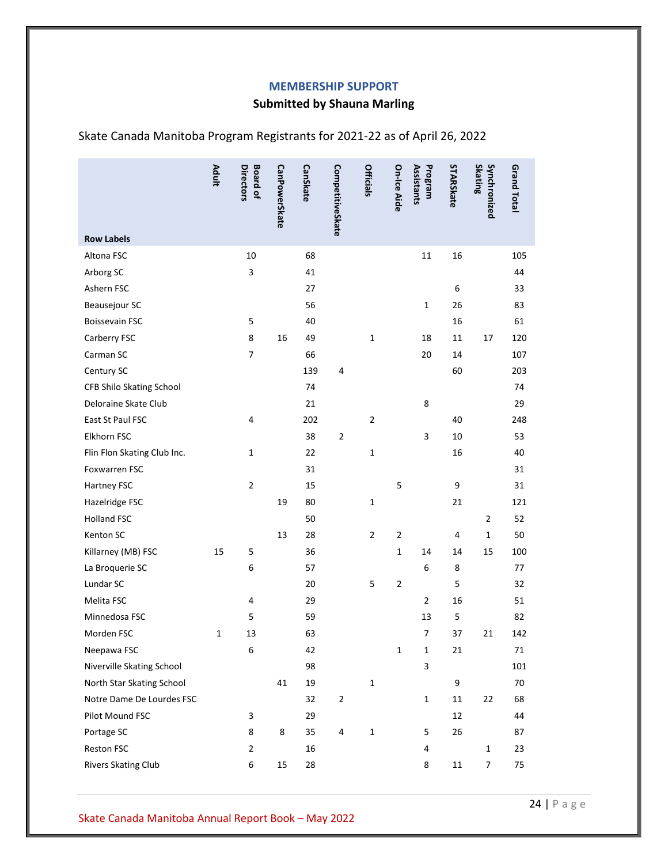#### **MEMBERSHIP SUPPORT**

# **Submitted by Shauna Marling**

|                                 | <b>Adult</b> | <b>Board of</b><br>Directors | <b>CanPowerSkate</b> | <b>CanSkate</b> | CompetitiveSkate | <b>Officials</b> | On-Ice Aide    | Assistants<br>Program | STARSkate | <b>Skating</b><br>Synchronized | <b>Grand Total</b> |
|---------------------------------|--------------|------------------------------|----------------------|-----------------|------------------|------------------|----------------|-----------------------|-----------|--------------------------------|--------------------|
|                                 |              |                              |                      |                 |                  |                  |                |                       |           |                                |                    |
| <b>Row Labels</b><br>Altona FSC |              | 10                           |                      | 68              |                  |                  |                |                       |           |                                | 105                |
|                                 |              | 3                            |                      | 41              |                  |                  |                | 11                    | 16        |                                | 44                 |
| Arborg SC                       |              |                              |                      | 27              |                  |                  |                |                       | 6         |                                |                    |
| Ashern FSC<br>Beausejour SC     |              |                              |                      | 56              |                  |                  |                | $\mathbf 1$           | 26        |                                | 33<br>83           |
| <b>Boissevain FSC</b>           |              | 5                            |                      | 40              |                  |                  |                |                       | 16        |                                | 61                 |
| Carberry FSC                    |              | 8                            | 16                   | 49              |                  | $\mathbf 1$      |                | 18                    | 11        | 17                             | 120                |
| Carman SC                       |              | $\overline{7}$               |                      | 66              |                  |                  |                | 20                    | 14        |                                | 107                |
| Century SC                      |              |                              |                      | 139             | 4                |                  |                |                       | 60        |                                | 203                |
| CFB Shilo Skating School        |              |                              |                      | 74              |                  |                  |                |                       |           |                                | 74                 |
| Deloraine Skate Club            |              |                              |                      | 21              |                  |                  |                | 8                     |           |                                | 29                 |
| East St Paul FSC                |              | 4                            |                      | 202             |                  | $\overline{2}$   |                |                       | 40        |                                | 248                |
| Elkhorn FSC                     |              |                              |                      | 38              | $\overline{2}$   |                  |                | 3                     | 10        |                                | 53                 |
| Flin Flon Skating Club Inc.     |              | 1                            |                      | 22              |                  | $\mathbf 1$      |                |                       | 16        |                                | 40                 |
| Foxwarren FSC                   |              |                              |                      | 31              |                  |                  |                |                       |           |                                | 31                 |
| Hartney FSC                     |              | $\overline{2}$               |                      | 15              |                  |                  | 5              |                       | 9         |                                | 31                 |
| Hazelridge FSC                  |              |                              | 19                   | 80              |                  | $\mathbf 1$      |                |                       | 21        |                                | 121                |
| <b>Holland FSC</b>              |              |                              |                      | 50              |                  |                  |                |                       |           | $\overline{2}$                 | 52                 |
| Kenton SC                       |              |                              | 13                   | 28              |                  | $\mathbf{2}$     | 2              |                       | 4         | $\mathbf{1}$                   | 50                 |
| Killarney (MB) FSC              | 15           | 5                            |                      | 36              |                  |                  | 1              | 14                    | 14        | 15                             | 100                |
| La Broquerie SC                 |              | 6                            |                      | 57              |                  |                  |                | 6                     | 8         |                                | 77                 |
| Lundar SC                       |              |                              |                      | 20              |                  | 5                | $\overline{2}$ |                       | 5         |                                | 32                 |
| Melita FSC                      |              | 4                            |                      | 29              |                  |                  |                | $\overline{2}$        | 16        |                                | 51                 |
| Minnedosa FSC                   |              | 5                            |                      | 59              |                  |                  |                | 13                    | 5         |                                | 82                 |
| Morden FSC                      | $\mathbf 1$  | 13                           |                      | 63              |                  |                  |                | 7                     | 37        | 21                             | 142                |
| Neepawa FSC                     |              | 6                            |                      | 42              |                  |                  | 1              | 1                     | 21        |                                | $\sqrt{1}$         |
| Niverville Skating School       |              |                              |                      | 98              |                  |                  |                | 3                     |           |                                | 101                |
| North Star Skating School       |              |                              | 41                   | 19              |                  | $\mathbf 1$      |                |                       | 9         |                                | 70                 |
| Notre Dame De Lourdes FSC       |              |                              |                      | 32              | $\overline{2}$   |                  |                | $\mathbf 1$           | $11\,$    | 22                             | 68                 |
| Pilot Mound FSC                 |              | 3                            |                      | 29              |                  |                  |                |                       | 12        |                                | 44                 |
| Portage SC                      |              | 8                            | 8                    | 35              | 4                | $\mathbf 1$      |                | 5                     | 26        |                                | 87                 |
| Reston FSC                      |              | $\overline{2}$               |                      | 16              |                  |                  |                | 4                     |           | $\mathbf 1$                    | 23                 |
| Rivers Skating Club             |              | 6                            | 15                   | 28              |                  |                  |                | 8                     | $11\,$    | $\overline{7}$                 | 75                 |

<span id="page-23-0"></span>Skate Canada Manitoba Program Registrants for 2021-22 as of April 26, 2022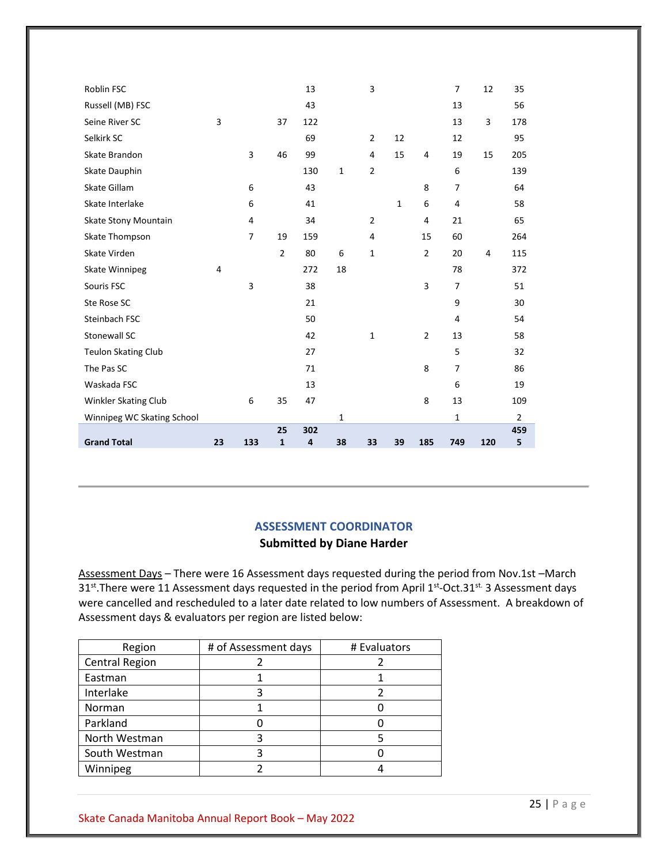| Roblin FSC                 |    |                |                    | 13       |              | 3              |              |                | $\overline{7}$ | 12  | 35             |
|----------------------------|----|----------------|--------------------|----------|--------------|----------------|--------------|----------------|----------------|-----|----------------|
| Russell (MB) FSC           |    |                |                    | 43       |              |                |              |                | 13             |     | 56             |
| Seine River SC             | 3  |                | 37                 | 122      |              |                |              |                | 13             | 3   | 178            |
| Selkirk SC                 |    |                |                    | 69       |              | $\overline{2}$ | 12           |                | 12             |     | 95             |
| Skate Brandon              |    | 3              | 46                 | 99       |              | 4              | 15           | 4              | 19             | 15  | 205            |
| Skate Dauphin              |    |                |                    | 130      | $\mathbf{1}$ | $\overline{2}$ |              |                | 6              |     | 139            |
| Skate Gillam               |    | 6              |                    | 43       |              |                |              | 8              | $\overline{7}$ |     | 64             |
| Skate Interlake            |    | 6              |                    | 41       |              |                | $\mathbf{1}$ | 6              | 4              |     | 58             |
| Skate Stony Mountain       |    | 4              |                    | 34       |              | $\overline{2}$ |              | 4              | 21             |     | 65             |
| Skate Thompson             |    | $\overline{7}$ | 19                 | 159      |              | 4              |              | 15             | 60             |     | 264            |
| Skate Virden               |    |                | $\overline{2}$     | 80       | 6            | $\mathbf 1$    |              | $\overline{2}$ | 20             | 4   | 115            |
| <b>Skate Winnipeg</b>      | 4  |                |                    | 272      | 18           |                |              |                | 78             |     | 372            |
| Souris FSC                 |    | 3              |                    | 38       |              |                |              | 3              | $\overline{7}$ |     | 51             |
| Ste Rose SC                |    |                |                    | 21       |              |                |              |                | 9              |     | 30             |
| Steinbach FSC              |    |                |                    | 50       |              |                |              |                | 4              |     | 54             |
| Stonewall SC               |    |                |                    | 42       |              | $\mathbf{1}$   |              | $\overline{2}$ | 13             |     | 58             |
| <b>Teulon Skating Club</b> |    |                |                    | 27       |              |                |              |                | 5              |     | 32             |
| The Pas SC                 |    |                |                    | 71       |              |                |              | 8              | $\overline{7}$ |     | 86             |
| Waskada FSC                |    |                |                    | 13       |              |                |              |                | 6              |     | 19             |
| Winkler Skating Club       |    | 6              | 35                 | 47       |              |                |              | 8              | 13             |     | 109            |
| Winnipeg WC Skating School |    |                |                    |          | $\mathbf{1}$ |                |              |                | $\mathbf{1}$   |     | $\overline{2}$ |
| <b>Grand Total</b>         | 23 | 133            | 25<br>$\mathbf{1}$ | 302<br>4 | 38           | 33             | 39           | 185            | 749            | 120 | 459<br>5       |
|                            |    |                |                    |          |              |                |              |                |                |     |                |

# **ASSESSMENT COORDINATOR Submitted by Diane Harder**

<span id="page-24-0"></span>Assessment Days – There were 16 Assessment days requested during the period from Nov.1st –March 31<sup>st</sup>. There were 11 Assessment days requested in the period from April 1<sup>st</sup>-Oct.31<sup>st.</sup> 3 Assessment days were cancelled and rescheduled to a later date related to low numbers of Assessment. A breakdown of Assessment days & evaluators per region are listed below:

| Region                | # of Assessment days | # Evaluators |
|-----------------------|----------------------|--------------|
| <b>Central Region</b> |                      |              |
| Eastman               |                      |              |
| Interlake             |                      |              |
| Norman                |                      |              |
| Parkland              |                      |              |
| North Westman         |                      |              |
| South Westman         |                      |              |
| Winnipeg              |                      |              |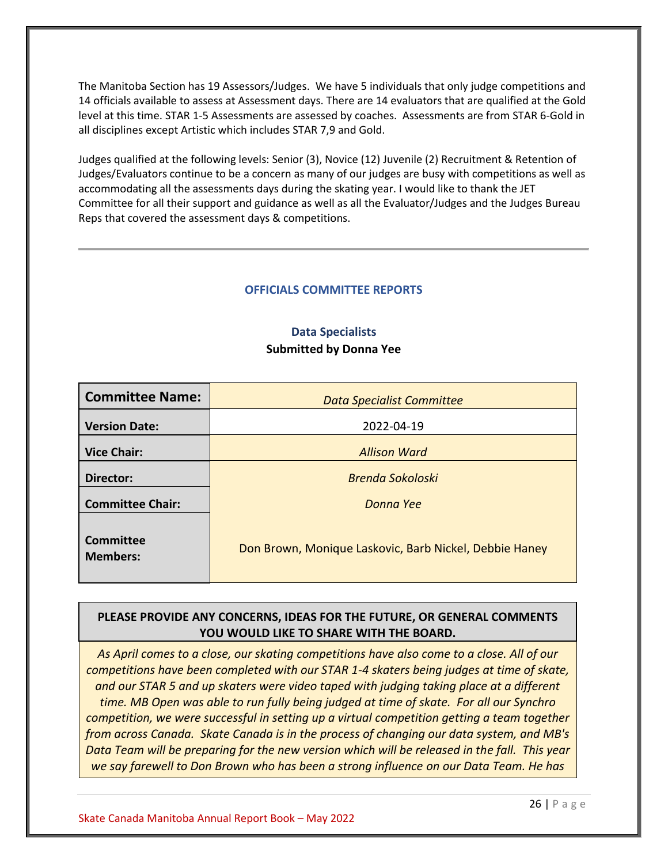The Manitoba Section has 19 Assessors/Judges. We have 5 individuals that only judge competitions and 14 officials available to assess at Assessment days. There are 14 evaluators that are qualified at the Gold level at this time. STAR 1-5 Assessments are assessed by coaches. Assessments are from STAR 6-Gold in all disciplines except Artistic which includes STAR 7,9 and Gold.

Judges qualified at the following levels: Senior (3), Novice (12) Juvenile (2) Recruitment & Retention of Judges/Evaluators continue to be a concern as many of our judges are busy with competitions as well as accommodating all the assessments days during the skating year. I would like to thank the JET Committee for all their support and guidance as well as all the Evaluator/Judges and the Judges Bureau Reps that covered the assessment days & competitions.

#### **OFFICIALS COMMITTEE REPORTS**

## **Data Specialists Submitted by Donna Yee**

<span id="page-25-1"></span><span id="page-25-0"></span>

| <b>Committee Name:</b>       | <b>Data Specialist Committee</b>                       |  |  |  |  |
|------------------------------|--------------------------------------------------------|--|--|--|--|
| <b>Version Date:</b>         | 2022-04-19                                             |  |  |  |  |
| <b>Vice Chair:</b>           | <b>Allison Ward</b>                                    |  |  |  |  |
| Director:                    | <b>Brenda Sokoloski</b>                                |  |  |  |  |
| <b>Committee Chair:</b>      | Donna Yee                                              |  |  |  |  |
| Committee<br><b>Members:</b> | Don Brown, Monique Laskovic, Barb Nickel, Debbie Haney |  |  |  |  |

## **PLEASE PROVIDE ANY CONCERNS, IDEAS FOR THE FUTURE, OR GENERAL COMMENTS YOU WOULD LIKE TO SHARE WITH THE BOARD.**

*As April comes to a close, our skating competitions have also come to a close. All of our competitions have been completed with our STAR 1-4 skaters being judges at time of skate, and our STAR 5 and up skaters were video taped with judging taking place at a different time. MB Open was able to run fully being judged at time of skate. For all our Synchro competition, we were successful in setting up a virtual competition getting a team together from across Canada. Skate Canada is in the process of changing our data system, and MB's Data Team will be preparing for the new version which will be released in the fall. This year we say farewell to Don Brown who has been a strong influence on our Data Team. He has*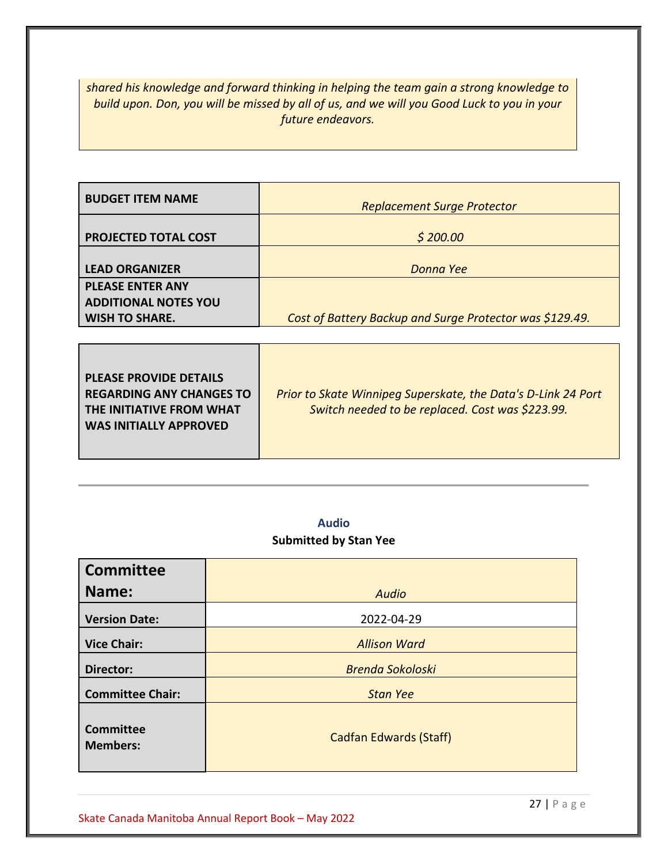*shared his knowledge and forward thinking in helping the team gain a strong knowledge to build upon. Don, you will be missed by all of us, and we will you Good Luck to you in your future endeavors.* 

| <b>BUDGET ITEM NAME</b>     | <b>Replacement Surge Protector</b>                       |
|-----------------------------|----------------------------------------------------------|
| <b>PROJECTED TOTAL COST</b> | \$200.00                                                 |
| <b>LEAD ORGANIZER</b>       | Donna Yee                                                |
| <b>PLEASE ENTER ANY</b>     |                                                          |
| <b>ADDITIONAL NOTES YOU</b> |                                                          |
| <b>WISH TO SHARE.</b>       | Cost of Battery Backup and Surge Protector was \$129.49. |

| <b>PLEASE PROVIDE DETAILS</b><br><b>REGARDING ANY CHANGES TO</b><br>THE INITIATIVE FROM WHAT<br><b>WAS INITIALLY APPROVED</b> | Prior to Skate Winnipeg Superskate, the Data's D-Link 24 Port<br>Switch needed to be replaced. Cost was \$223.99. |
|-------------------------------------------------------------------------------------------------------------------------------|-------------------------------------------------------------------------------------------------------------------|
|                                                                                                                               |                                                                                                                   |

# **Audio Submitted by Stan Yee**

<span id="page-26-0"></span>

| <b>Committee</b>                    |                               |
|-------------------------------------|-------------------------------|
| Name:                               | <b>Audio</b>                  |
| <b>Version Date:</b>                | 2022-04-29                    |
| <b>Vice Chair:</b>                  | <b>Allison Ward</b>           |
| Director:                           | <b>Brenda Sokoloski</b>       |
| <b>Committee Chair:</b>             | <b>Stan Yee</b>               |
| <b>Committee</b><br><b>Members:</b> | <b>Cadfan Edwards (Staff)</b> |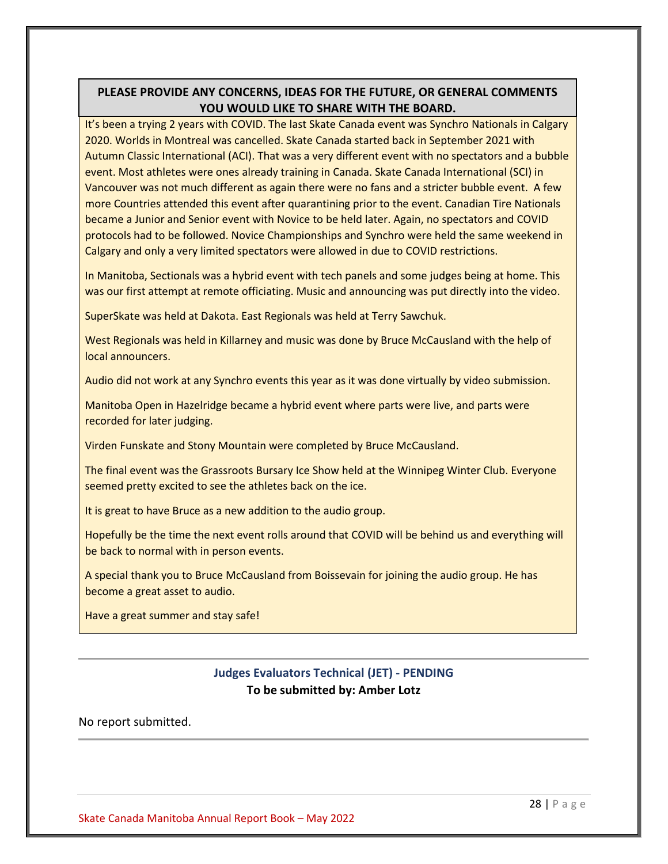# **PLEASE PROVIDE ANY CONCERNS, IDEAS FOR THE FUTURE, OR GENERAL COMMENTS YOU WOULD LIKE TO SHARE WITH THE BOARD.**

It's been a trying 2 years with COVID. The last Skate Canada event was Synchro Nationals in Calgary 2020. Worlds in Montreal was cancelled. Skate Canada started back in September 2021 with Autumn Classic International (ACI). That was a very different event with no spectators and a bubble event. Most athletes were ones already training in Canada. Skate Canada International (SCI) in Vancouver was not much different as again there were no fans and a stricter bubble event. A few more Countries attended this event after quarantining prior to the event. Canadian Tire Nationals became a Junior and Senior event with Novice to be held later. Again, no spectators and COVID protocols had to be followed. Novice Championships and Synchro were held the same weekend in Calgary and only a very limited spectators were allowed in due to COVID restrictions.

In Manitoba, Sectionals was a hybrid event with tech panels and some judges being at home. This was our first attempt at remote officiating. Music and announcing was put directly into the video.

SuperSkate was held at Dakota. East Regionals was held at Terry Sawchuk.

West Regionals was held in Killarney and music was done by Bruce McCausland with the help of local announcers.

Audio did not work at any Synchro events this year as it was done virtually by video submission.

Manitoba Open in Hazelridge became a hybrid event where parts were live, and parts were recorded for later judging.

Virden Funskate and Stony Mountain were completed by Bruce McCausland.

The final event was the Grassroots Bursary Ice Show held at the Winnipeg Winter Club. Everyone seemed pretty excited to see the athletes back on the ice.

It is great to have Bruce as a new addition to the audio group.

Hopefully be the time the next event rolls around that COVID will be behind us and everything will be back to normal with in person events.

A special thank you to Bruce McCausland from Boissevain for joining the audio group. He has become a great asset to audio.

<span id="page-27-0"></span>Have a great summer and stay safe!

# **Judges Evaluators Technical (JET) - PENDING To be submitted by: Amber Lotz**

## No report submitted.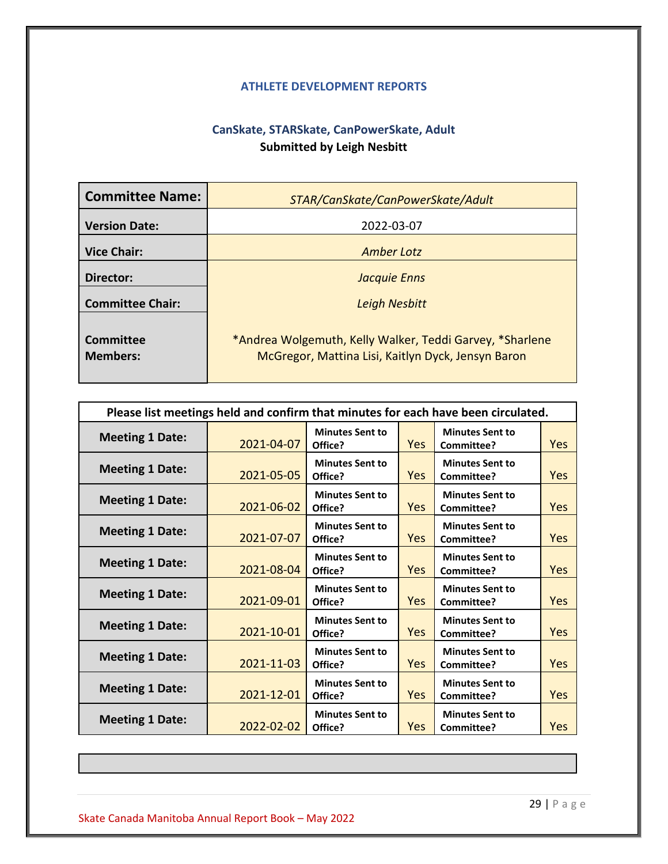## **ATHLETE DEVELOPMENT REPORTS**

# **CanSkate, STARSkate, CanPowerSkate, Adult Submitted by Leigh Nesbitt**

<span id="page-28-1"></span><span id="page-28-0"></span>

| <b>Committee Name:</b>              | STAR/CanSkate/CanPowerSkate/Adult                                                                              |
|-------------------------------------|----------------------------------------------------------------------------------------------------------------|
| <b>Version Date:</b>                | 2022-03-07                                                                                                     |
| <b>Vice Chair:</b>                  | Amber Lotz                                                                                                     |
| Director:                           | <b>Jacquie Enns</b>                                                                                            |
| <b>Committee Chair:</b>             | <b>Leigh Nesbitt</b>                                                                                           |
| <b>Committee</b><br><b>Members:</b> | *Andrea Wolgemuth, Kelly Walker, Teddi Garvey, *Sharlene<br>McGregor, Mattina Lisi, Kaitlyn Dyck, Jensyn Baron |

| Please list meetings held and confirm that minutes for each have been circulated. |            |                                   |            |                                      |            |
|-----------------------------------------------------------------------------------|------------|-----------------------------------|------------|--------------------------------------|------------|
| <b>Meeting 1 Date:</b>                                                            | 2021-04-07 | <b>Minutes Sent to</b><br>Office? | <b>Yes</b> | <b>Minutes Sent to</b><br>Committee? | <b>Yes</b> |
| <b>Meeting 1 Date:</b>                                                            | 2021-05-05 | <b>Minutes Sent to</b><br>Office? | Yes        | <b>Minutes Sent to</b><br>Committee? | <b>Yes</b> |
| <b>Meeting 1 Date:</b>                                                            | 2021-06-02 | <b>Minutes Sent to</b><br>Office? | Yes        | <b>Minutes Sent to</b><br>Committee? | <b>Yes</b> |
| <b>Meeting 1 Date:</b>                                                            | 2021-07-07 | <b>Minutes Sent to</b><br>Office? | <b>Yes</b> | <b>Minutes Sent to</b><br>Committee? | <b>Yes</b> |
| <b>Meeting 1 Date:</b>                                                            | 2021-08-04 | <b>Minutes Sent to</b><br>Office? | Yes        | <b>Minutes Sent to</b><br>Committee? | <b>Yes</b> |
| <b>Meeting 1 Date:</b>                                                            | 2021-09-01 | <b>Minutes Sent to</b><br>Office? | <b>Yes</b> | <b>Minutes Sent to</b><br>Committee? | Yes        |
| <b>Meeting 1 Date:</b>                                                            | 2021-10-01 | <b>Minutes Sent to</b><br>Office? | <b>Yes</b> | <b>Minutes Sent to</b><br>Committee? | <b>Yes</b> |
| <b>Meeting 1 Date:</b>                                                            | 2021-11-03 | <b>Minutes Sent to</b><br>Office? | <b>Yes</b> | <b>Minutes Sent to</b><br>Committee? | <b>Yes</b> |
| <b>Meeting 1 Date:</b>                                                            | 2021-12-01 | <b>Minutes Sent to</b><br>Office? | <b>Yes</b> | <b>Minutes Sent to</b><br>Committee? | Yes        |
| <b>Meeting 1 Date:</b>                                                            | 2022-02-02 | <b>Minutes Sent to</b><br>Office? | Yes        | <b>Minutes Sent to</b><br>Committee? | <b>Yes</b> |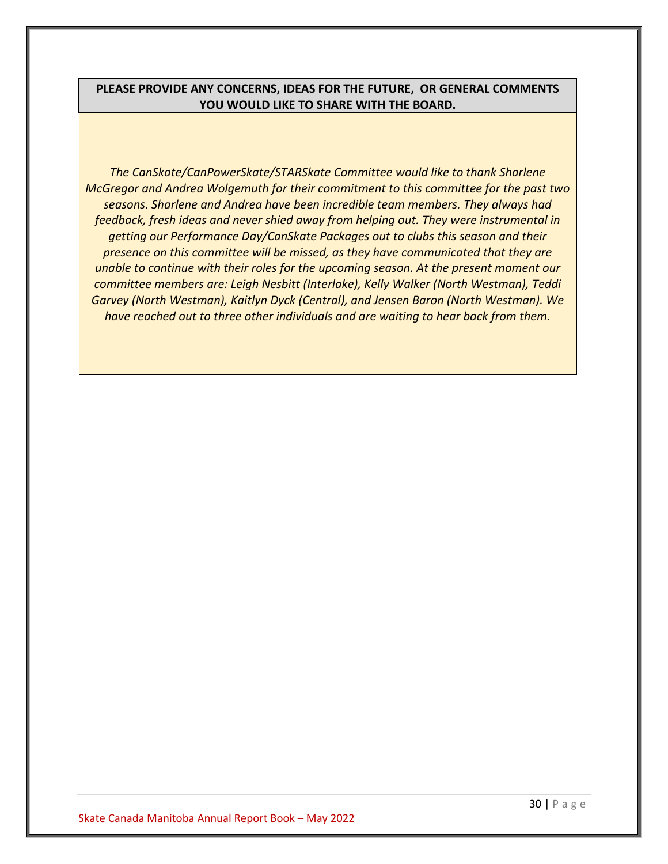## **PLEASE PROVIDE ANY CONCERNS, IDEAS FOR THE FUTURE, OR GENERAL COMMENTS YOU WOULD LIKE TO SHARE WITH THE BOARD.**

*The CanSkate/CanPowerSkate/STARSkate Committee would like to thank Sharlene McGregor and Andrea Wolgemuth for their commitment to this committee for the past two seasons. Sharlene and Andrea have been incredible team members. They always had feedback, fresh ideas and never shied away from helping out. They were instrumental in getting our Performance Day/CanSkate Packages out to clubs this season and their presence on this committee will be missed, as they have communicated that they are unable to continue with their roles for the upcoming season. At the present moment our committee members are: Leigh Nesbitt (Interlake), Kelly Walker (North Westman), Teddi Garvey (North Westman), Kaitlyn Dyck (Central), and Jensen Baron (North Westman). We have reached out to three other individuals and are waiting to hear back from them.*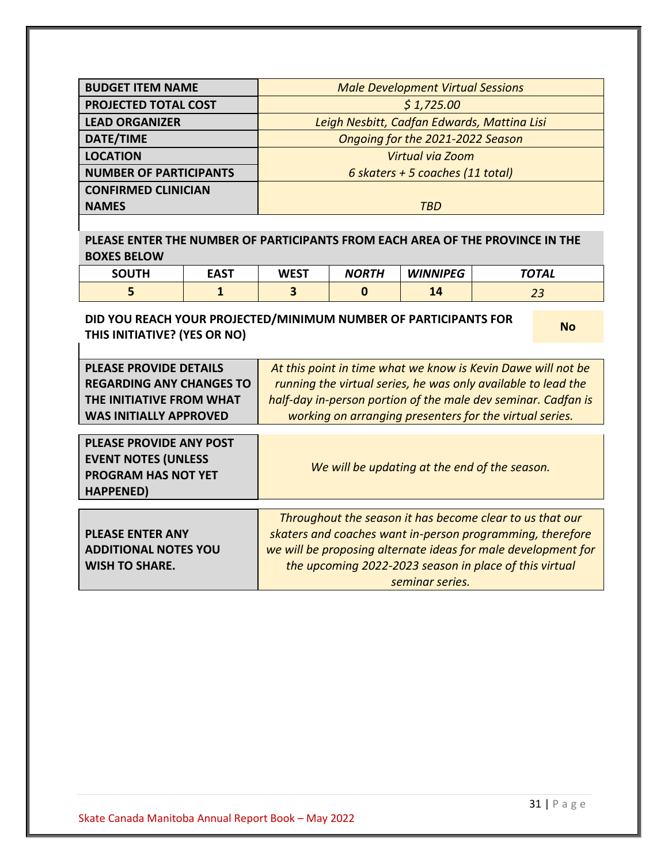| <b>BUDGET ITEM NAME</b>                                                                                                       |              | <b>Male Development Virtual Sessions</b>                                                                                                                                                                                                                  |                                               |                                  |  |              |
|-------------------------------------------------------------------------------------------------------------------------------|--------------|-----------------------------------------------------------------------------------------------------------------------------------------------------------------------------------------------------------------------------------------------------------|-----------------------------------------------|----------------------------------|--|--------------|
| <b>PROJECTED TOTAL COST</b>                                                                                                   |              | \$1,725.00                                                                                                                                                                                                                                                |                                               |                                  |  |              |
| <b>LEAD ORGANIZER</b>                                                                                                         |              |                                                                                                                                                                                                                                                           | Leigh Nesbitt, Cadfan Edwards, Mattina Lisi   |                                  |  |              |
| <b>DATE/TIME</b>                                                                                                              |              |                                                                                                                                                                                                                                                           |                                               | Ongoing for the 2021-2022 Season |  |              |
| <b>LOCATION</b>                                                                                                               |              |                                                                                                                                                                                                                                                           |                                               | <b>Virtual via Zoom</b>          |  |              |
| <b>NUMBER OF PARTICIPANTS</b>                                                                                                 |              |                                                                                                                                                                                                                                                           |                                               | 6 skaters + 5 coaches (11 total) |  |              |
| <b>CONFIRMED CLINICIAN</b><br><b>NAMES</b>                                                                                    |              |                                                                                                                                                                                                                                                           |                                               | <b>TBD</b>                       |  |              |
| PLEASE ENTER THE NUMBER OF PARTICIPANTS FROM EACH AREA OF THE PROVINCE IN THE<br><b>BOXES BELOW</b>                           |              |                                                                                                                                                                                                                                                           |                                               |                                  |  |              |
| <b>SOUTH</b>                                                                                                                  | <b>EAST</b>  | <b>WEST</b>                                                                                                                                                                                                                                               | <b>NORTH</b>                                  | <b>WINNIPEG</b>                  |  | <b>TOTAL</b> |
| 5                                                                                                                             | $\mathbf{1}$ | $\overline{\mathbf{3}}$                                                                                                                                                                                                                                   | $\mathbf 0$                                   | 14                               |  | 23           |
| DID YOU REACH YOUR PROJECTED/MINIMUM NUMBER OF PARTICIPANTS FOR<br>THIS INITIATIVE? (YES OR NO)                               |              |                                                                                                                                                                                                                                                           |                                               |                                  |  | <b>No</b>    |
| <b>PLEASE PROVIDE DETAILS</b><br><b>REGARDING ANY CHANGES TO</b><br>THE INITIATIVE FROM WHAT<br><b>WAS INITIALLY APPROVED</b> |              | At this point in time what we know is Kevin Dawe will not be<br>running the virtual series, he was only available to lead the<br>half-day in-person portion of the male dev seminar. Cadfan is<br>working on arranging presenters for the virtual series. |                                               |                                  |  |              |
| <b>PLEASE PROVIDE ANY POST</b><br><b>EVENT NOTES (UNLESS</b><br><b>PROGRAM HAS NOT YET</b><br><b>HAPPENED)</b>                |              |                                                                                                                                                                                                                                                           |                                               |                                  |  |              |
|                                                                                                                               |              |                                                                                                                                                                                                                                                           | We will be updating at the end of the season. |                                  |  |              |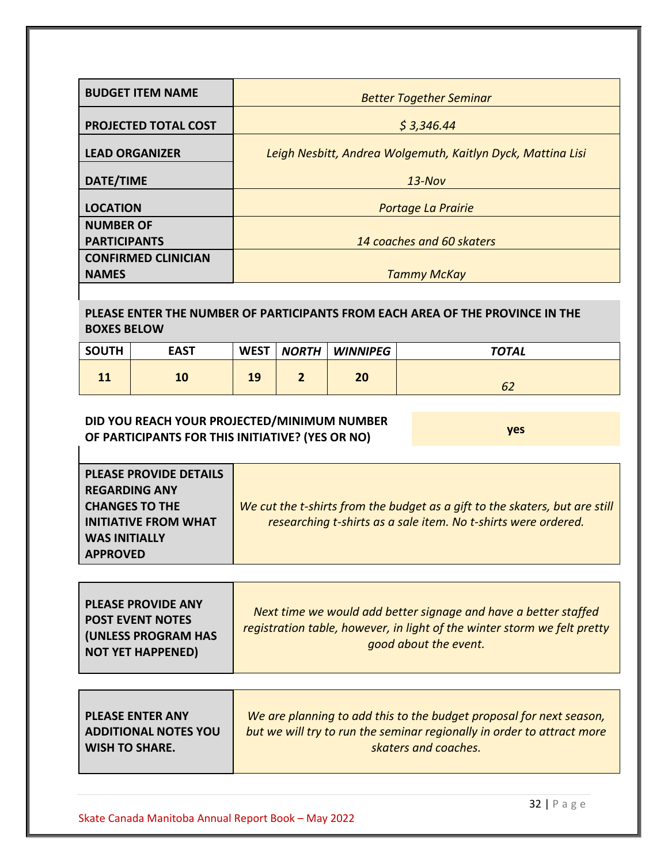| <b>BUDGET ITEM NAME</b>    | <b>Better Together Seminar</b>                              |
|----------------------------|-------------------------------------------------------------|
|                            |                                                             |
| PROJECTED TOTAL COST       | \$3,346.44                                                  |
|                            |                                                             |
| <b>LEAD ORGANIZER</b>      | Leigh Nesbitt, Andrea Wolgemuth, Kaitlyn Dyck, Mattina Lisi |
|                            |                                                             |
| DATE/TIME                  | $13-Nov$                                                    |
|                            |                                                             |
| <b>LOCATION</b>            | Portage La Prairie                                          |
| <b>NUMBER OF</b>           |                                                             |
| <b>PARTICIPANTS</b>        | 14 coaches and 60 skaters                                   |
| <b>CONFIRMED CLINICIAN</b> |                                                             |
| <b>NAMES</b>               | <b>Tammy McKay</b>                                          |

## **PLEASE ENTER THE NUMBER OF PARTICIPANTS FROM EACH AREA OF THE PROVINCE IN THE BOXES BELOW**

| <b>SOUTH</b> | <b>EAST</b> | <b>WEST</b> | <b>NORTH</b> | <b>WINNIPEG</b> | <b>TOTAL</b> |
|--------------|-------------|-------------|--------------|-----------------|--------------|
| <b>LL</b>    | 10          | 19          |              | 20              | bŹ           |

# **DID YOU REACH YOUR PROJECTED/MINIMUM NUMBER OF PARTICIPANTS FOR THIS INITIATIVE? (YES OR NO) yes**

| <b>PLEASE PROVIDE DETAILS</b><br><b>REGARDING ANY</b> |                                                                                                                                               |
|-------------------------------------------------------|-----------------------------------------------------------------------------------------------------------------------------------------------|
| <b>CHANGES TO THE</b><br><b>INITIATIVE FROM WHAT</b>  | We cut the t-shirts from the budget as a gift to the skaters, but are still<br>researching t-shirts as a sale item. No t-shirts were ordered. |
| <b>WAS INITIALLY</b><br><b>APPROVED</b>               |                                                                                                                                               |

| <b>PLEASE PROVIDE ANY</b><br><b>POST EVENT NOTES</b><br><b>(UNLESS PROGRAM HAS</b><br><b>NOT YET HAPPENED)</b> | Next time we would add better signage and have a better staffed<br>registration table, however, in light of the winter storm we felt pretty<br>good about the event. |
|----------------------------------------------------------------------------------------------------------------|----------------------------------------------------------------------------------------------------------------------------------------------------------------------|
|----------------------------------------------------------------------------------------------------------------|----------------------------------------------------------------------------------------------------------------------------------------------------------------------|

| <b>ADDITIONAL NOTES YOU</b><br>but we will try to run the seminar regionally in order to attract more<br>l WISH TO SHARE.<br>skaters and coaches. |
|---------------------------------------------------------------------------------------------------------------------------------------------------|
|---------------------------------------------------------------------------------------------------------------------------------------------------|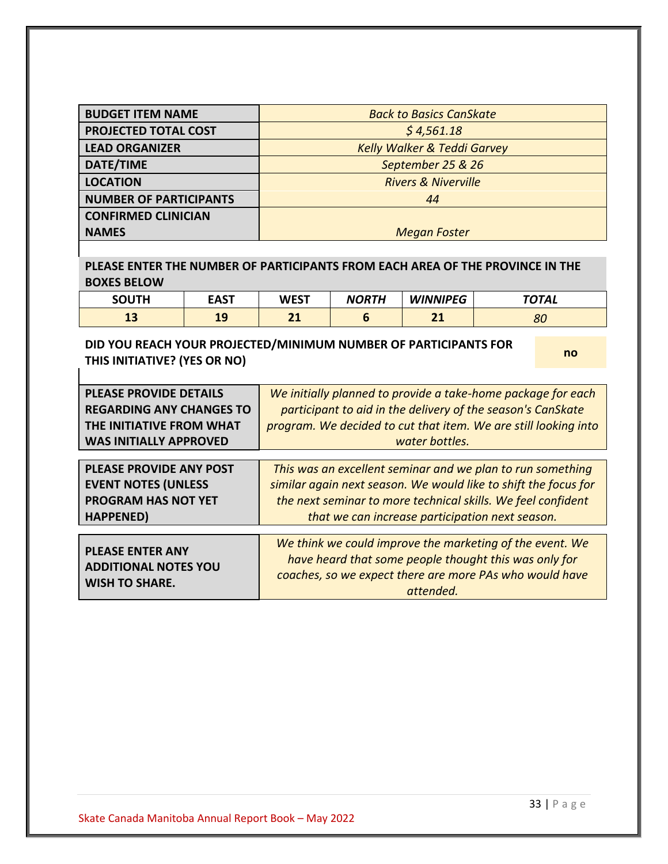| <b>BUDGET ITEM NAME</b>       | <b>Back to Basics CanSkate</b>         |
|-------------------------------|----------------------------------------|
| <b>PROJECTED TOTAL COST</b>   | \$4,561.18                             |
| <b>LEAD ORGANIZER</b>         | <b>Kelly Walker &amp; Teddi Garvey</b> |
| DATE/TIME                     | September 25 & 26                      |
| <b>LOCATION</b>               | <b>Rivers &amp; Niverville</b>         |
| <b>NUMBER OF PARTICIPANTS</b> | 44                                     |
| <b>CONFIRMED CLINICIAN</b>    |                                        |
| <b>NAMES</b>                  | <b>Megan Foster</b>                    |

**PLEASE ENTER THE NUMBER OF PARTICIPANTS FROM EACH AREA OF THE PROVINCE IN THE BOXES BELOW**

| <b>SOUTH</b> | EAST     | <b>WEST</b>          | <b>NORTH</b> | <b>WINNIPEG</b>      | $T$ $TAL$ |
|--------------|----------|----------------------|--------------|----------------------|-----------|
| --           | 10<br>-- | $\sim$<br><u>_ _</u> |              | $\sim$<br><u>_ _</u> | 80        |

**DID YOU REACH YOUR PROJECTED/MINIMUM NUMBER OF PARTICIPANTS FOR THIS INITIATIVE? (YES OR NO) no**

| <b>PLEASE PROVIDE DETAILS</b>                                                   | We initially planned to provide a take-home package for each                                                                                                                              |
|---------------------------------------------------------------------------------|-------------------------------------------------------------------------------------------------------------------------------------------------------------------------------------------|
| <b>REGARDING ANY CHANGES TO</b>                                                 | participant to aid in the delivery of the season's CanSkate                                                                                                                               |
| THE INITIATIVE FROM WHAT                                                        | program. We decided to cut that item. We are still looking into                                                                                                                           |
| <b>WAS INITIALLY APPROVED</b>                                                   | water bottles.                                                                                                                                                                            |
| PLEASE PROVIDE ANY POST                                                         | This was an excellent seminar and we plan to run something                                                                                                                                |
| <b>EVENT NOTES (UNLESS</b>                                                      | similar again next season. We would like to shift the focus for                                                                                                                           |
| <b>PROGRAM HAS NOT YET</b>                                                      | the next seminar to more technical skills. We feel confident                                                                                                                              |
| <b>HAPPENED)</b>                                                                | that we can increase participation next season.                                                                                                                                           |
| <b>PLEASE ENTER ANY</b><br><b>ADDITIONAL NOTES YOU</b><br><b>WISH TO SHARE.</b> | We think we could improve the marketing of the event. We<br>have heard that some people thought this was only for<br>coaches, so we expect there are more PAs who would have<br>attended. |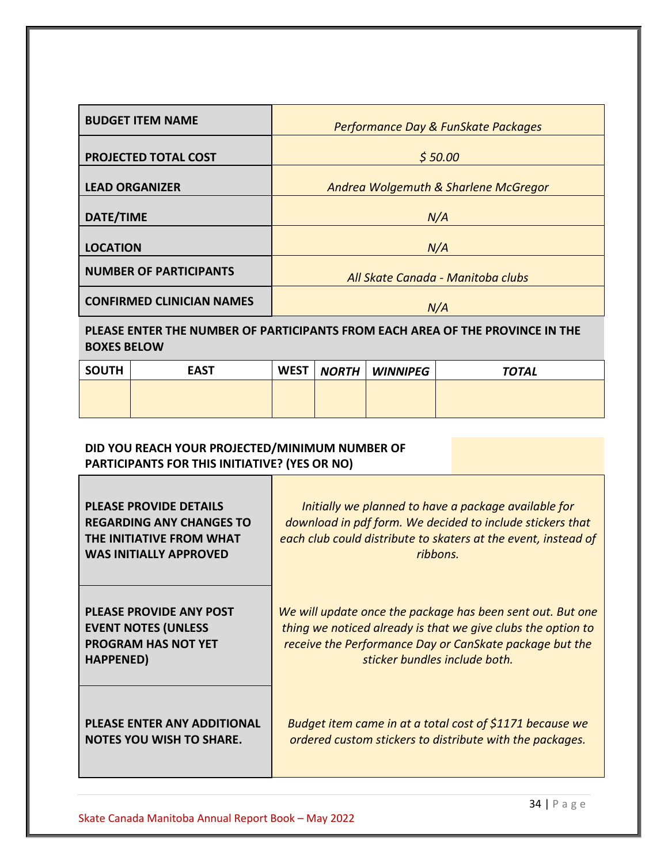| <b>BUDGET ITEM NAME</b>                                                       | Performance Day & FunSkate Packages  |  |  |  |  |  |
|-------------------------------------------------------------------------------|--------------------------------------|--|--|--|--|--|
| <b>PROJECTED TOTAL COST</b>                                                   | \$50.00                              |  |  |  |  |  |
| <b>LEAD ORGANIZER</b>                                                         | Andrea Wolgemuth & Sharlene McGregor |  |  |  |  |  |
| <b>DATE/TIME</b>                                                              | N/A                                  |  |  |  |  |  |
| <b>LOCATION</b>                                                               | N/A                                  |  |  |  |  |  |
| <b>NUMBER OF PARTICIPANTS</b>                                                 | All Skate Canada - Manitoba clubs    |  |  |  |  |  |
| <b>CONFIRMED CLINICIAN NAMES</b>                                              | N/A                                  |  |  |  |  |  |
| PLEASE ENTER THE NUMBER OF PARTICIPANTS FROM EACH AREA OF THE PROVINCE IN THE |                                      |  |  |  |  |  |

# **BOXES BELOW**

| <b>SOUTH</b> | <b>EAST</b> | <b>WEST</b> | <b>NORTH   WINNIPEG</b> | <b>TOTAL</b> |
|--------------|-------------|-------------|-------------------------|--------------|
|              |             |             |                         |              |
|              |             |             |                         |              |

# **DID YOU REACH YOUR PROJECTED/MINIMUM NUMBER OF PARTICIPANTS FOR THIS INITIATIVE? (YES OR NO)**

| <b>PLEASE PROVIDE DETAILS</b>      | Initially we planned to have a package available for           |
|------------------------------------|----------------------------------------------------------------|
| <b>REGARDING ANY CHANGES TO</b>    | download in pdf form. We decided to include stickers that      |
| THE INITIATIVE FROM WHAT           | each club could distribute to skaters at the event, instead of |
| <b>WAS INITIALLY APPROVED</b>      | ribbons.                                                       |
| <b>PLEASE PROVIDE ANY POST</b>     | We will update once the package has been sent out. But one     |
| <b>EVENT NOTES (UNLESS</b>         | thing we noticed already is that we give clubs the option to   |
| <b>PROGRAM HAS NOT YET</b>         | receive the Performance Day or CanSkate package but the        |
| HAPPENED)                          | sticker bundles include both.                                  |
| <b>PLEASE ENTER ANY ADDITIONAL</b> | Budget item came in at a total cost of \$1171 because we       |
| <b>NOTES YOU WISH TO SHARE.</b>    | ordered custom stickers to distribute with the packages.       |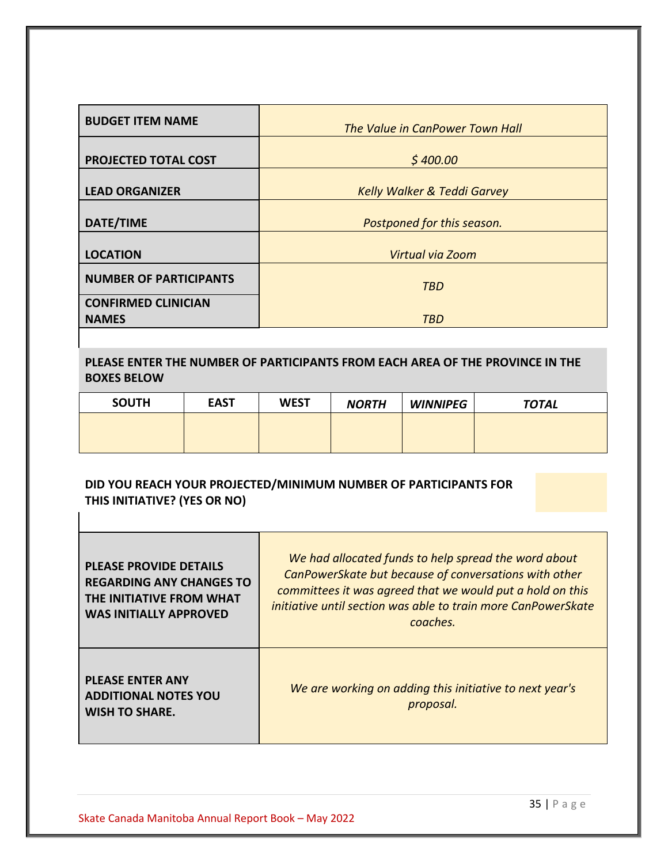| <b>BUDGET ITEM NAME</b>                    | The Value in CanPower Town Hall        |
|--------------------------------------------|----------------------------------------|
| <b>PROJECTED TOTAL COST</b>                | \$400.00                               |
| <b>LEAD ORGANIZER</b>                      | <b>Kelly Walker &amp; Teddi Garvey</b> |
| <b>DATE/TIME</b>                           | Postponed for this season.             |
| <b>LOCATION</b>                            | Virtual via Zoom                       |
| <b>NUMBER OF PARTICIPANTS</b>              | <b>TBD</b>                             |
| <b>CONFIRMED CLINICIAN</b><br><b>NAMES</b> | <b>TBD</b>                             |

**PLEASE ENTER THE NUMBER OF PARTICIPANTS FROM EACH AREA OF THE PROVINCE IN THE BOXES BELOW**

| <b>SOUTH</b> | <b>EAST</b> | <b>WEST</b> | <b>NORTH</b> | <b>WINNIPEG</b> | <b>TOTAL</b> |
|--------------|-------------|-------------|--------------|-----------------|--------------|
|              |             |             |              |                 |              |
|              |             |             |              |                 |              |

# **DID YOU REACH YOUR PROJECTED/MINIMUM NUMBER OF PARTICIPANTS FOR THIS INITIATIVE? (YES OR NO)**

| <b>PLEASE PROVIDE DETAILS</b><br><b>REGARDING ANY CHANGES TO</b><br>THE INITIATIVE FROM WHAT<br><b>WAS INITIALLY APPROVED</b> | We had allocated funds to help spread the word about<br>CanPowerSkate but because of conversations with other<br>committees it was agreed that we would put a hold on this<br>initiative until section was able to train more CanPowerSkate<br>coaches. |
|-------------------------------------------------------------------------------------------------------------------------------|---------------------------------------------------------------------------------------------------------------------------------------------------------------------------------------------------------------------------------------------------------|
| <b>PLEASE ENTER ANY</b><br><b>ADDITIONAL NOTES YOU</b><br><b>WISH TO SHARE.</b>                                               | We are working on adding this initiative to next year's<br>proposal.                                                                                                                                                                                    |

 $\mathbf{r}$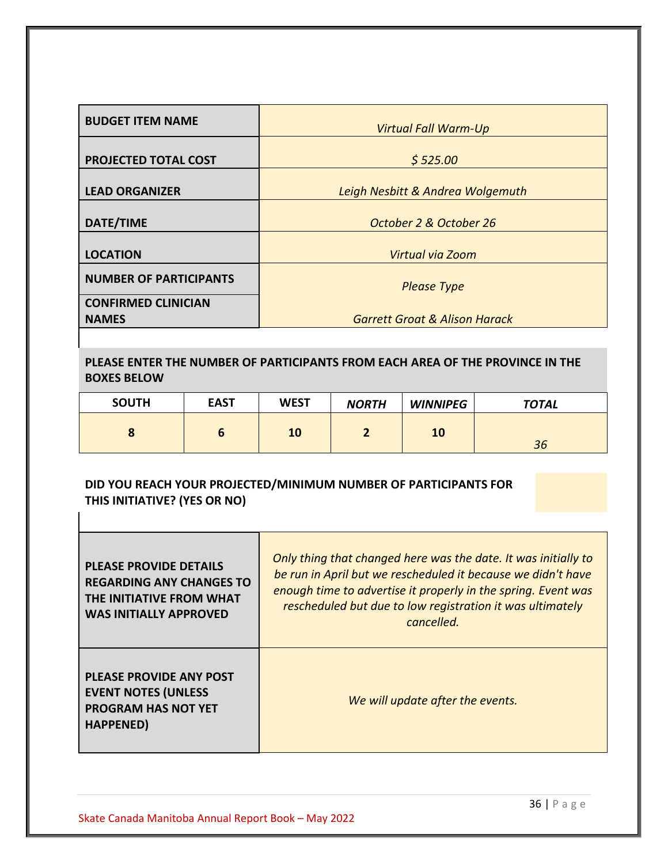| <b>BUDGET ITEM NAME</b>                    | <b>Virtual Fall Warm-Up</b>              |
|--------------------------------------------|------------------------------------------|
| PROJECTED TOTAL COST                       | \$525.00                                 |
| <b>LEAD ORGANIZER</b>                      | Leigh Nesbitt & Andrea Wolgemuth         |
| <b>DATE/TIME</b>                           | October 2 & October 26                   |
| <b>LOCATION</b>                            | Virtual via Zoom                         |
| <b>NUMBER OF PARTICIPANTS</b>              | <b>Please Type</b>                       |
| <b>CONFIRMED CLINICIAN</b><br><b>NAMES</b> | <b>Garrett Groat &amp; Alison Harack</b> |

**PLEASE ENTER THE NUMBER OF PARTICIPANTS FROM EACH AREA OF THE PROVINCE IN THE BOXES BELOW**

| <b>SOUTH</b> | <b>EAST</b> | <b>WEST</b> | <b>NORTH</b> | <b>WINNIPEG</b> | <b>TOTAL</b> |
|--------------|-------------|-------------|--------------|-----------------|--------------|
| $\bullet$    |             | 10          |              | 10              | 36           |

# **DID YOU REACH YOUR PROJECTED/MINIMUM NUMBER OF PARTICIPANTS FOR THIS INITIATIVE? (YES OR NO)**

| <b>PLEASE PROVIDE DETAILS</b><br><b>REGARDING ANY CHANGES TO</b><br>THE INITIATIVE FROM WHAT<br><b>WAS INITIALLY APPROVED</b> | Only thing that changed here was the date. It was initially to<br>be run in April but we rescheduled it because we didn't have<br>enough time to advertise it properly in the spring. Event was<br>rescheduled but due to low registration it was ultimately<br>cancelled. |
|-------------------------------------------------------------------------------------------------------------------------------|----------------------------------------------------------------------------------------------------------------------------------------------------------------------------------------------------------------------------------------------------------------------------|
| <b>PLEASE PROVIDE ANY POST</b><br><b>EVENT NOTES (UNLESS</b><br><b>PROGRAM HAS NOT YET</b><br>HAPPENED)                       | We will update after the events.                                                                                                                                                                                                                                           |

 $\mathbf{I}$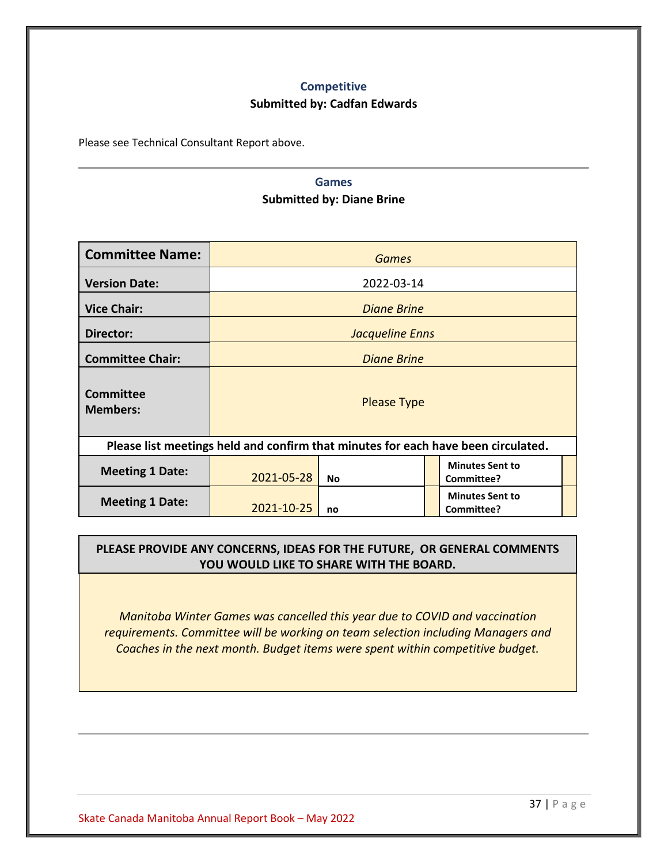# **Competitive**

## **Submitted by: Cadfan Edwards**

<span id="page-36-1"></span><span id="page-36-0"></span>Please see Technical Consultant Report above.

# **Games Submitted by: Diane Brine**

| <b>Committee Name:</b>              |            | <b>Games</b>       |  |                                                                                   |  |  |  |
|-------------------------------------|------------|--------------------|--|-----------------------------------------------------------------------------------|--|--|--|
| <b>Version Date:</b>                |            | 2022-03-14         |  |                                                                                   |  |  |  |
| <b>Vice Chair:</b>                  |            | <b>Diane Brine</b> |  |                                                                                   |  |  |  |
| Director:                           |            | Jacqueline Enns    |  |                                                                                   |  |  |  |
| <b>Committee Chair:</b>             |            | <b>Diane Brine</b> |  |                                                                                   |  |  |  |
| <b>Committee</b><br><b>Members:</b> |            | <b>Please Type</b> |  |                                                                                   |  |  |  |
|                                     |            |                    |  | Please list meetings held and confirm that minutes for each have been circulated. |  |  |  |
| <b>Meeting 1 Date:</b>              | 2021-05-28 | No                 |  | <b>Minutes Sent to</b><br>Committee?                                              |  |  |  |
| <b>Meeting 1 Date:</b>              | 2021-10-25 | no                 |  | <b>Minutes Sent to</b><br>Committee?                                              |  |  |  |

## **PLEASE PROVIDE ANY CONCERNS, IDEAS FOR THE FUTURE, OR GENERAL COMMENTS YOU WOULD LIKE TO SHARE WITH THE BOARD.**

*Manitoba Winter Games was cancelled this year due to COVID and vaccination requirements. Committee will be working on team selection including Managers and Coaches in the next month. Budget items were spent within competitive budget.*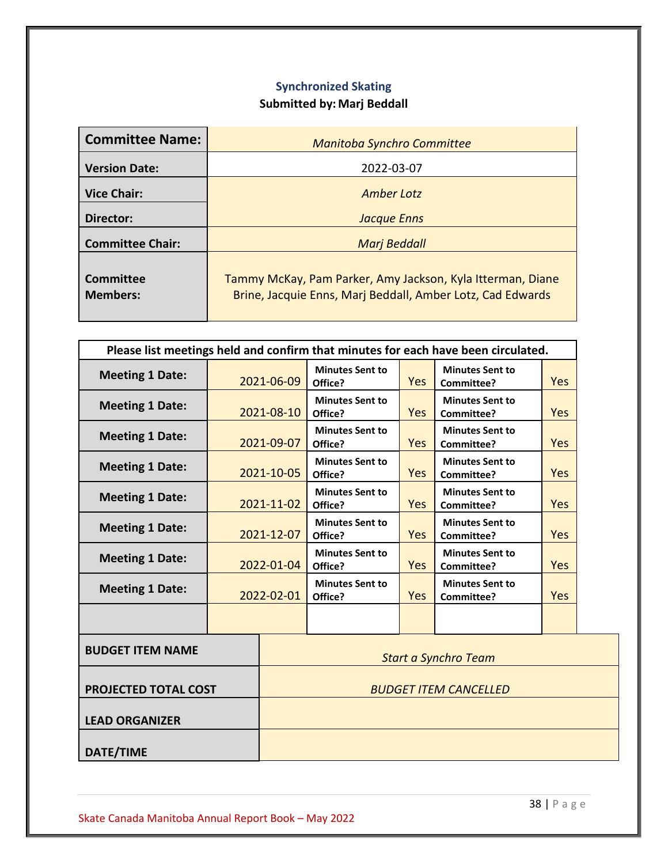# **Synchronized Skating Submitted by: Marj Beddall**

<span id="page-37-0"></span>

| <b>Committee Name:</b>              | <b>Manitoba Synchro Committee</b>                                                                                        |
|-------------------------------------|--------------------------------------------------------------------------------------------------------------------------|
| <b>Version Date:</b>                | 2022-03-07                                                                                                               |
| <b>Vice Chair:</b>                  | <b>Amber Lotz</b>                                                                                                        |
| Director:                           | <b>Jacque Enns</b>                                                                                                       |
| <b>Committee Chair:</b>             | <b>Marj Beddall</b>                                                                                                      |
| <b>Committee</b><br><b>Members:</b> | Tammy McKay, Pam Parker, Amy Jackson, Kyla Itterman, Diane<br>Brine, Jacquie Enns, Marj Beddall, Amber Lotz, Cad Edwards |

| Please list meetings held and confirm that minutes for each have been circulated. |            |                              |                                   |            |                                      |            |
|-----------------------------------------------------------------------------------|------------|------------------------------|-----------------------------------|------------|--------------------------------------|------------|
| <b>Meeting 1 Date:</b>                                                            | 2021-06-09 |                              | <b>Minutes Sent to</b><br>Office? | <b>Yes</b> | <b>Minutes Sent to</b><br>Committee? | Yes        |
| <b>Meeting 1 Date:</b>                                                            | 2021-08-10 |                              | <b>Minutes Sent to</b><br>Office? | Yes        | <b>Minutes Sent to</b><br>Committee? | Yes        |
| <b>Meeting 1 Date:</b>                                                            |            | 2021-09-07                   | <b>Minutes Sent to</b><br>Office? | Yes        | <b>Minutes Sent to</b><br>Committee? | <b>Yes</b> |
| <b>Meeting 1 Date:</b>                                                            |            | 2021-10-05                   | <b>Minutes Sent to</b><br>Office? | <b>Yes</b> | <b>Minutes Sent to</b><br>Committee? | Yes        |
| <b>Meeting 1 Date:</b>                                                            | 2021-11-02 |                              | <b>Minutes Sent to</b><br>Office? | <b>Yes</b> | <b>Minutes Sent to</b><br>Committee? | <b>Yes</b> |
| <b>Meeting 1 Date:</b>                                                            | 2021-12-07 |                              | <b>Minutes Sent to</b><br>Office? | <b>Yes</b> | <b>Minutes Sent to</b><br>Committee? | Yes        |
| <b>Meeting 1 Date:</b>                                                            | 2022-01-04 |                              | <b>Minutes Sent to</b><br>Office? | <b>Yes</b> | <b>Minutes Sent to</b><br>Committee? | Yes        |
| <b>Meeting 1 Date:</b>                                                            | 2022-02-01 |                              | <b>Minutes Sent to</b><br>Office? | Yes        | <b>Minutes Sent to</b><br>Committee? | Yes        |
|                                                                                   |            |                              |                                   |            |                                      |            |
| <b>BUDGET ITEM NAME</b>                                                           |            |                              |                                   |            | <b>Start a Synchro Team</b>          |            |
| <b>PROJECTED TOTAL COST</b>                                                       |            | <b>BUDGET ITEM CANCELLED</b> |                                   |            |                                      |            |
| <b>LEAD ORGANIZER</b>                                                             |            |                              |                                   |            |                                      |            |
| <b>DATE/TIME</b>                                                                  |            |                              |                                   |            |                                      |            |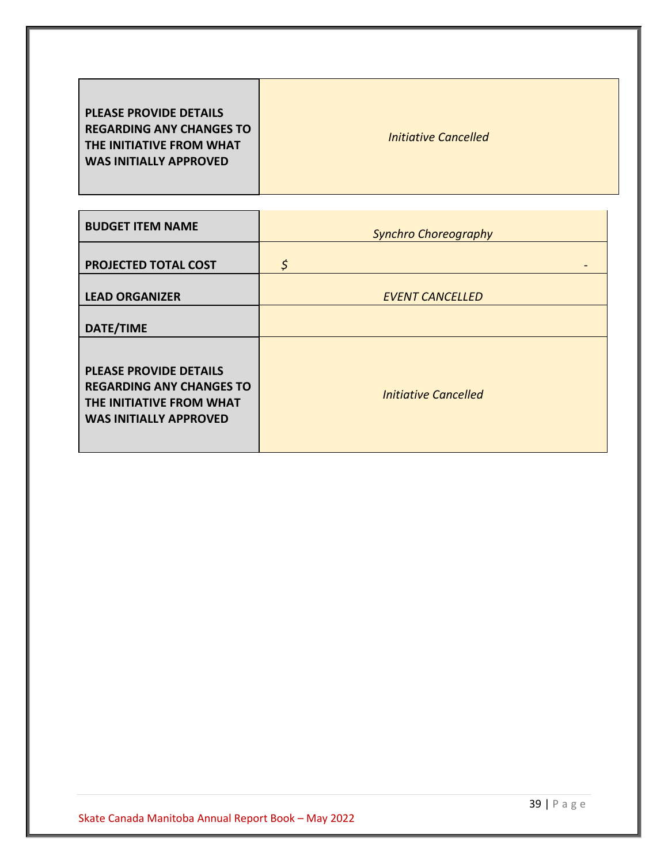| <b>BUDGET ITEM NAME</b>                                                                                                       | <b>Synchro Choreography</b> |
|-------------------------------------------------------------------------------------------------------------------------------|-----------------------------|
| <b>PROJECTED TOTAL COST</b>                                                                                                   | \$                          |
| <b>LEAD ORGANIZER</b>                                                                                                         | <b>EVENT CANCELLED</b>      |
| <b>DATE/TIME</b>                                                                                                              |                             |
| <b>PLEASE PROVIDE DETAILS</b><br><b>REGARDING ANY CHANGES TO</b><br>THE INITIATIVE FROM WHAT<br><b>WAS INITIALLY APPROVED</b> | <b>Initiative Cancelled</b> |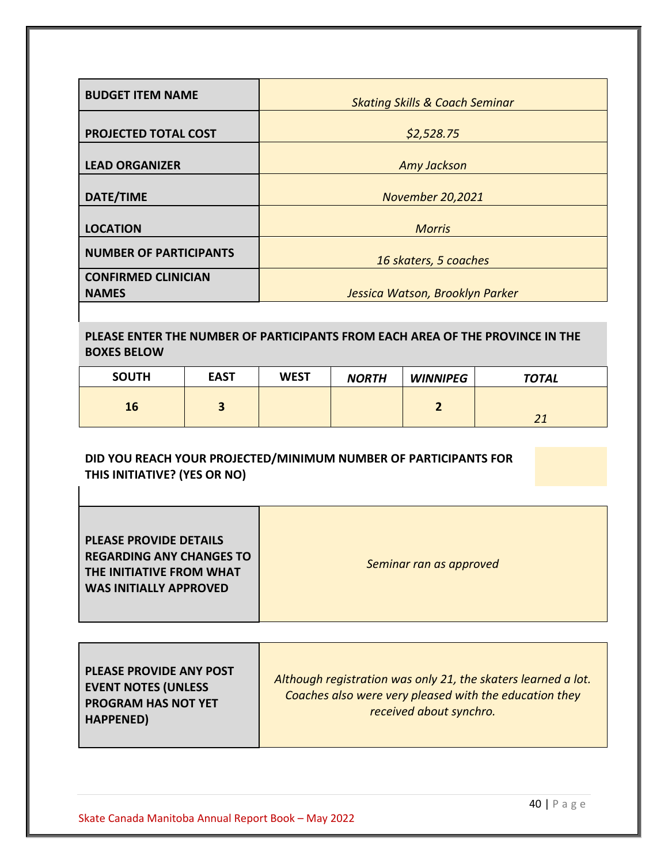| <b>BUDGET ITEM NAME</b>       |                                           |
|-------------------------------|-------------------------------------------|
|                               | <b>Skating Skills &amp; Coach Seminar</b> |
|                               |                                           |
| PROJECTED TOTAL COST          | \$2,528.75                                |
|                               |                                           |
| <b>LEAD ORGANIZER</b>         | <b>Amy Jackson</b>                        |
|                               |                                           |
| DATE/TIME                     | <b>November 20,2021</b>                   |
|                               |                                           |
| <b>LOCATION</b>               | <b>Morris</b>                             |
|                               |                                           |
| <b>NUMBER OF PARTICIPANTS</b> | 16 skaters, 5 coaches                     |
|                               |                                           |
| <b>CONFIRMED CLINICIAN</b>    |                                           |
| <b>NAMES</b>                  | Jessica Watson, Brooklyn Parker           |

# **PLEASE ENTER THE NUMBER OF PARTICIPANTS FROM EACH AREA OF THE PROVINCE IN THE BOXES BELOW**

| <b>SOUTH</b> | <b>EAST</b> | <b>WEST</b> | <b>NORTH</b> | <b>WINNIPEG</b> | <b>TOTAL</b> |
|--------------|-------------|-------------|--------------|-----------------|--------------|
| 16           |             |             |              |                 | 21           |

## **DID YOU REACH YOUR PROJECTED/MINIMUM NUMBER OF PARTICIPANTS FOR THIS INITIATIVE? (YES OR NO)**

T

| <b>PLEASE PROVIDE DETAILS</b><br><b>REGARDING ANY CHANGES TO</b><br><b>THE INITIATIVE FROM WHAT</b> | Seminar ran as approved |
|-----------------------------------------------------------------------------------------------------|-------------------------|
| <b>WAS INITIALLY APPROVED</b>                                                                       |                         |
|                                                                                                     |                         |

| <b>PLEASE PROVIDE ANY POST</b><br><b>EVENT NOTES (UNLESS</b><br><b>PROGRAM HAS NOT YET</b><br><b>HAPPENED)</b> | Although registration was only 21, the skaters learned a lot.<br>Coaches also were very pleased with the education they<br>received about synchro. |
|----------------------------------------------------------------------------------------------------------------|----------------------------------------------------------------------------------------------------------------------------------------------------|
|----------------------------------------------------------------------------------------------------------------|----------------------------------------------------------------------------------------------------------------------------------------------------|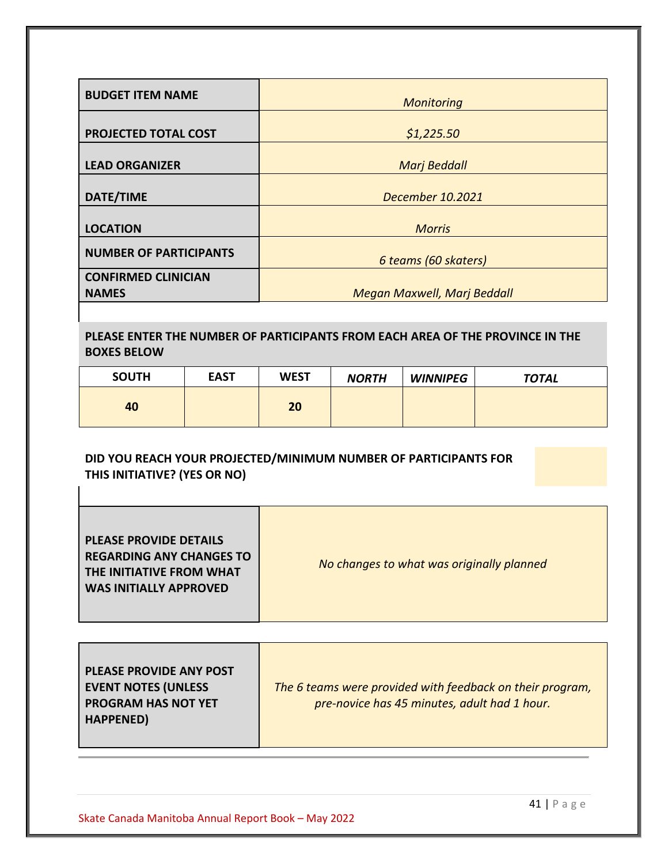| <b>BUDGET ITEM NAME</b>                    | <b>Monitoring</b>                  |
|--------------------------------------------|------------------------------------|
| PROJECTED TOTAL COST                       | \$1,225.50                         |
| <b>LEAD ORGANIZER</b>                      | <b>Marj Beddall</b>                |
| DATE/TIME                                  | December 10.2021                   |
| <b>LOCATION</b>                            | <b>Morris</b>                      |
| <b>NUMBER OF PARTICIPANTS</b>              | 6 teams (60 skaters)               |
| <b>CONFIRMED CLINICIAN</b><br><b>NAMES</b> | <b>Megan Maxwell, Marj Beddall</b> |

# **PLEASE ENTER THE NUMBER OF PARTICIPANTS FROM EACH AREA OF THE PROVINCE IN THE BOXES BELOW**

| <b>SOUTH</b> | <b>EAST</b> | <b>WEST</b> | <b>NORTH</b> | <b>WINNIPEG</b> | <b>TOTAL</b> |
|--------------|-------------|-------------|--------------|-----------------|--------------|
| 40           |             | 20          |              |                 |              |

## **DID YOU REACH YOUR PROJECTED/MINIMUM NUMBER OF PARTICIPANTS FOR THIS INITIATIVE? (YES OR NO)**

T

| <b>WAS INITIALLY APPROVED</b> |
|-------------------------------|
|-------------------------------|

| <b>PLEASE PROVIDE ANY POST</b><br><b>EVENT NOTES (UNLESS</b><br><b>PROGRAM HAS NOT YET</b><br>HAPPENED) | The 6 teams were provided with feedback on their program,<br>pre-novice has 45 minutes, adult had 1 hour. |
|---------------------------------------------------------------------------------------------------------|-----------------------------------------------------------------------------------------------------------|
|---------------------------------------------------------------------------------------------------------|-----------------------------------------------------------------------------------------------------------|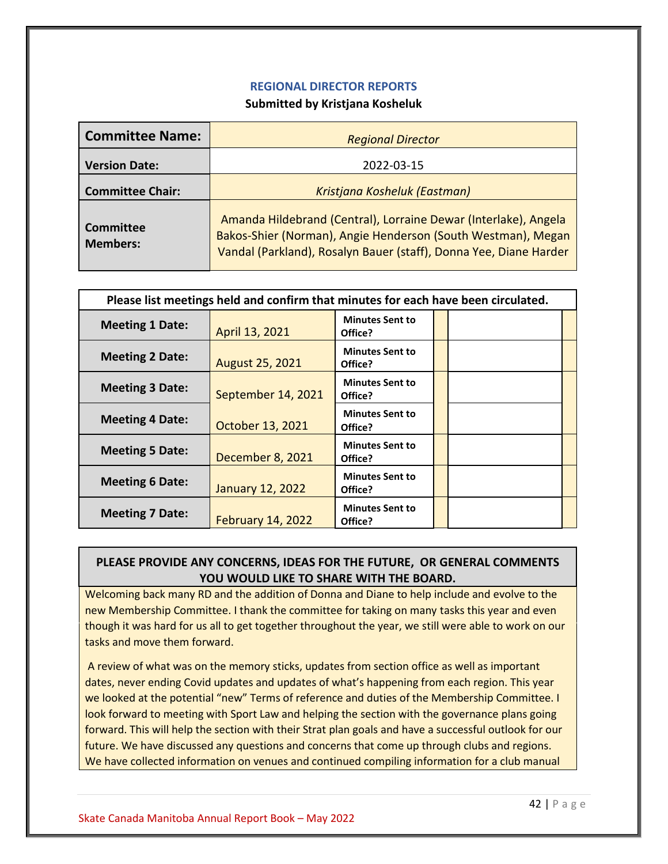## **REGIONAL DIRECTOR REPORTS**

## **Submitted by Kristjana Kosheluk**

<span id="page-41-0"></span>

| <b>Committee Name:</b>       | <b>Regional Director</b>                                                                                                                                                                             |  |  |  |  |
|------------------------------|------------------------------------------------------------------------------------------------------------------------------------------------------------------------------------------------------|--|--|--|--|
| <b>Version Date:</b>         | 2022-03-15                                                                                                                                                                                           |  |  |  |  |
| <b>Committee Chair:</b>      | Kristjana Kosheluk (Eastman)                                                                                                                                                                         |  |  |  |  |
| Committee<br><b>Members:</b> | Amanda Hildebrand (Central), Lorraine Dewar (Interlake), Angela<br>Bakos-Shier (Norman), Angie Henderson (South Westman), Megan<br>Vandal (Parkland), Rosalyn Bauer (staff), Donna Yee, Diane Harder |  |  |  |  |

| Please list meetings held and confirm that minutes for each have been circulated. |                          |                                   |  |  |  |
|-----------------------------------------------------------------------------------|--------------------------|-----------------------------------|--|--|--|
| <b>Meeting 1 Date:</b>                                                            | April 13, 2021           | <b>Minutes Sent to</b><br>Office? |  |  |  |
| <b>Meeting 2 Date:</b>                                                            | <b>August 25, 2021</b>   | <b>Minutes Sent to</b><br>Office? |  |  |  |
| <b>Meeting 3 Date:</b>                                                            | September 14, 2021       | <b>Minutes Sent to</b><br>Office? |  |  |  |
| <b>Meeting 4 Date:</b>                                                            | October 13, 2021         | <b>Minutes Sent to</b><br>Office? |  |  |  |
| <b>Meeting 5 Date:</b>                                                            | December 8, 2021         | <b>Minutes Sent to</b><br>Office? |  |  |  |
| <b>Meeting 6 Date:</b>                                                            | <b>January 12, 2022</b>  | <b>Minutes Sent to</b><br>Office? |  |  |  |
| <b>Meeting 7 Date:</b>                                                            | <b>February 14, 2022</b> | <b>Minutes Sent to</b><br>Office? |  |  |  |

# **PLEASE PROVIDE ANY CONCERNS, IDEAS FOR THE FUTURE, OR GENERAL COMMENTS YOU WOULD LIKE TO SHARE WITH THE BOARD.**

Welcoming back many RD and the addition of Donna and Diane to help include and evolve to the new Membership Committee. I thank the committee for taking on many tasks this year and even though it was hard for us all to get together throughout the year, we still were able to work on our tasks and move them forward.

A review of what was on the memory sticks, updates from section office as well as important dates, never ending Covid updates and updates of what's happening from each region. This year we looked at the potential "new" Terms of reference and duties of the Membership Committee. I look forward to meeting with Sport Law and helping the section with the governance plans going forward. This will help the section with their Strat plan goals and have a successful outlook for our future. We have discussed any questions and concerns that come up through clubs and regions. We have collected information on venues and continued compiling information for a club manual